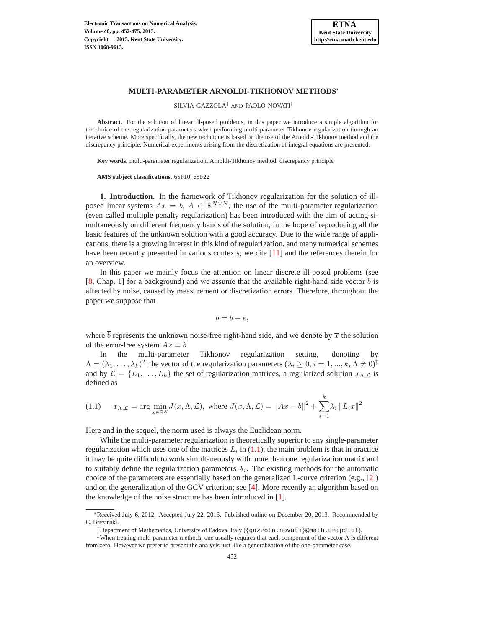

SILVIA GAZZOLA† AND PAOLO NOVATI†

**Abstract.** For the solution of linear ill-posed problems, in this paper we introduce a simple algorithm for the choice of the regularization parameters when performing multi-parameter Tikhonov regularization through an iterative scheme. More specifically, the new technique is based on the use of the Arnoldi-Tikhonov method and the discrepancy principle. Numerical experiments arising from the discretization of integral equations are presented.

**Key words.** multi-parameter regularization, Arnoldi-Tikhonov method, discrepancy principle

**AMS subject classifications.** 65F10, 65F22

**1. Introduction.** In the framework of Tikhonov regularization for the solution of illposed linear systems  $Ax = b$ ,  $A \in \mathbb{R}^{N \times N}$ , the use of the multi-parameter regularization (even called multiple penalty regularization) has been introduced with the aim of acting simultaneously on different frequency bands of the solution, in the hope of reproducing all the basic features of the unknown solution with a good accuracy. Due to the wide range of applications, there is a growing interest in this kind of regularization, and many numerical schemes have been recently presented in various contexts; we cite [\[11\]](#page-17-0) and the references therein for an overview.

In this paper we mainly focus the attention on linear discrete ill-posed problems (see [\[8,](#page-17-1) Chap. 1] for a background) and we assume that the available right-hand side vector b is affected by noise, caused by measurement or discretization errors. Therefore, throughout the paper we suppose that

$$
b=\overline{b}+e,
$$

where  $\bar{b}$  represents the unknown noise-free right-hand side, and we denote by  $\bar{x}$  the solution of the error-free system  $Ax = \overline{b}$ .

In the multi-parameter Tikhonov regularization setting, denoting by  $\Lambda = (\lambda_1, ..., \lambda_k)^T$  the vector of the regularization parameters  $(\lambda_i \ge 0, i = 1, ..., k, \Lambda \ne 0)^{\ddagger}$ and by  $\mathcal{L} = \{L_1, \ldots, L_k\}$  the set of regularization matrices, a regularized solution  $x_{\Lambda,\mathcal{L}}$  is defined as

<span id="page-0-0"></span>(1.1) 
$$
x_{\Lambda,\mathcal{L}} = \arg\min_{x \in \mathbb{R}^N} J(x,\Lambda,\mathcal{L}), \text{ where } J(x,\Lambda,\mathcal{L}) = \|Ax - b\|^2 + \sum_{i=1}^k \lambda_i \|L_i x\|^2.
$$

Here and in the sequel, the norm used is always the Euclidean norm.

While the multi-parameter regularization is theoretically superior to any single-parameter regularization which uses one of the matrices  $L_i$  in [\(1.1\)](#page-0-0), the main problem is that in practice it may be quite difficult to work simultaneously with more than one regularization matrix and to suitably define the regularization parameters  $\lambda_i$ . The existing methods for the automatic choice of the parameters are essentially based on the generalized L-curve criterion (e.g., [\[2\]](#page-17-2)) and on the generalization of the GCV criterion; see [\[4\]](#page-17-3). More recently an algorithm based on the knowledge of the noise structure has been introduced in [\[1\]](#page-17-4).

<sup>∗</sup>Received July 6, 2012. Accepted July 22, 2013. Published online on December 20, 2013. Recommended by C. Brezinski.

<sup>†</sup>Department of Mathematics, University of Padova, Italy ( $\{\texttt{gazzola}$ , novati $\}$ @math.unipd.it).

<sup>&</sup>lt;sup>‡</sup>When treating multi-parameter methods, one usually requires that each component of the vector  $\Lambda$  is different from zero. However we prefer to present the analysis just like a generalization of the one-parameter case.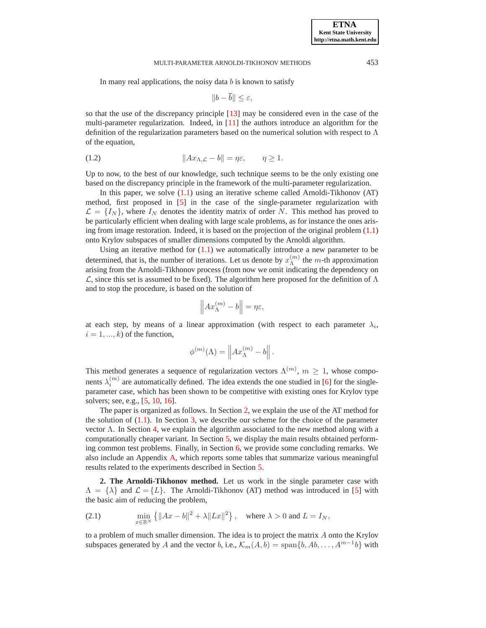In many real applications, the noisy data  $b$  is known to satisfy

$$
||b-\overline{b}|| \leq \varepsilon,
$$

so that the use of the discrepancy principle [\[13\]](#page-17-5) may be considered even in the case of the multi-parameter regularization. Indeed, in  $[11]$  the authors introduce an algorithm for the definition of the regularization parameters based on the numerical solution with respect to  $\Lambda$ of the equation,

<span id="page-1-2"></span>(1.2) 
$$
||Ax_{\Lambda,\mathcal{L}}-b||=\eta\varepsilon, \qquad \eta\geq 1.
$$

Up to now, to the best of our knowledge, such technique seems to be the only existing one based on the discrepancy principle in the framework of the multi-parameter regularization.

In this paper, we solve  $(1.1)$  using an iterative scheme called Arnoldi-Tikhonov  $(AT)$ method, first proposed in [\[5\]](#page-17-6) in the case of the single-parameter regularization with  $\mathcal{L} = \{I_N\}$ , where  $I_N$  denotes the identity matrix of order N. This method has proved to be particularly efficient when dealing with large scale problems, as for instance the ones arising from image restoration. Indeed, it is based on the projection of the original problem [\(1.1\)](#page-0-0) onto Krylov subspaces of smaller dimensions computed by the Arnoldi algorithm.

Using an iterative method for  $(1.1)$  we automatically introduce a new parameter to be determined, that is, the number of iterations. Let us denote by  $x_{\lambda}^{(m)}$  $\Lambda^{(m)}$  the *m*-th approximation arising from the Arnoldi-Tikhonov process (from now we omit indicating the dependency on  $\mathcal{L}$ , since this set is assumed to be fixed). The algorithm here proposed for the definition of  $\Lambda$ and to stop the procedure, is based on the solution of

$$
\left\|Ax_{\Lambda}^{(m)} - b\right\| = \eta \varepsilon,
$$

at each step, by means of a linear approximation (with respect to each parameter  $\lambda_i$ ,  $i = 1, ..., k$ ) of the function,

$$
\phi^{(m)}(\Lambda) = \left\| Ax_{\Lambda}^{(m)} - b \right\|.
$$

This method generates a sequence of regularization vectors  $\Lambda^{(m)}$ ,  $m \geq 1$ , whose components  $\lambda_i^{(m)}$  are automatically defined. The idea extends the one studied in [\[6\]](#page-17-7) for the singleparameter case, which has been shown to be competitive with existing ones for Krylov type solvers; see, e.g., [\[5,](#page-17-6) [10,](#page-17-8) [16\]](#page-17-9).

The paper is organized as follows. In Section [2,](#page-1-0) we explain the use of the AT method for the solution of  $(1.1)$ . In Section [3,](#page-3-0) we describe our scheme for the choice of the parameter vector  $\Lambda$ . In Section [4,](#page-7-0) we explain the algorithm associated to the new method along with a computationally cheaper variant. In Section [5,](#page-9-0) we display the main results obtained performing common test problems. Finally, in Section [6,](#page-15-0) we provide some concluding remarks. We also include an Appendix [A,](#page-17-10) which reports some tables that summarize various meaningful results related to the experiments described in Section [5.](#page-9-0)

<span id="page-1-0"></span>**2. The Arnoldi-Tikhonov method.** Let us work in the single parameter case with  $\Lambda = {\lambda}$  and  $\mathcal{L} = {L}$ . The Arnoldi-Tikhonov (AT) method was introduced in [\[5\]](#page-17-6) with the basic aim of reducing the problem,

<span id="page-1-1"></span>(2.1) 
$$
\min_{x \in \mathbb{R}^N} \left\{ \|Ax - b\|^2 + \lambda \|Lx\|^2 \right\}, \text{ where } \lambda > 0 \text{ and } L = I_N,
$$

to a problem of much smaller dimension. The idea is to project the matrix A onto the Krylov subspaces generated by A and the vector b, i.e.,  $\mathcal{K}_m(A, b) = \text{span}\{b, Ab, \dots, A^{m-1}b\}$  with

**ETNA Kent State University http://etna.math.kent.edu**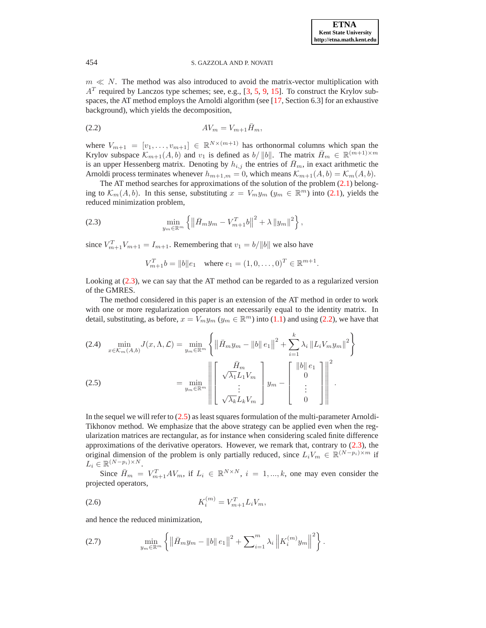$m \ll N$ . The method was also introduced to avoid the matrix-vector multiplication with  $A<sup>T</sup>$  required by Lanczos type schemes; see, e.g., [\[3,](#page-17-11) [5,](#page-17-6) [9,](#page-17-12) [15\]](#page-17-13). To construct the Krylov subspaces, the AT method employs the Arnoldi algorithm (see [\[17,](#page-17-14) Section 6.3] for an exhaustive background), which yields the decomposition,

<span id="page-2-1"></span>
$$
(2.2) \t\t\t AV_m = V_{m+1}\bar{H}_m,
$$

where  $V_{m+1} = [v_1, \ldots, v_{m+1}] \in \mathbb{R}^{N \times (m+1)}$  has orthonormal columns which span the Krylov subspace  $\mathcal{K}_{m+1}(A, b)$  and  $v_1$  is defined as  $b/||b||$ . The matrix  $\bar{H}_m \in \mathbb{R}^{(m+1)\times m}$ is an upper Hessenberg matrix. Denoting by  $h_{i,j}$  the entries of  $H_m$ , in exact arithmetic the Arnoldi process terminates whenever  $h_{m+1,m} = 0$ , which means  $\mathcal{K}_{m+1}(A, b) = \mathcal{K}_m(A, b)$ .

The AT method searches for approximations of the solution of the problem [\(2.1\)](#page-1-1) belonging to  $\mathcal{K}_m(A, b)$ . In this sense, substituting  $x = V_m y_m$   $(y_m \in \mathbb{R}^m)$  into [\(2.1\)](#page-1-1), yields the reduced minimization problem,

<span id="page-2-0"></span>(2.3) 
$$
\min_{y_m \in \mathbb{R}^m} \left\{ \left\| \bar{H}_m y_m - V_{m+1}^T b \right\|^2 + \lambda \left\| y_m \right\|^2 \right\},
$$

since  $V_{m+1}^T V_{m+1} = I_{m+1}$ . Remembering that  $v_1 = b / ||b||$  we also have

$$
V_{m+1}^T b = ||b||e_1 \quad \text{where } e_1 = (1, 0, \dots, 0)^T \in \mathbb{R}^{m+1}.
$$

Looking at [\(2.3\)](#page-2-0), we can say that the AT method can be regarded to as a regularized version of the GMRES.

The method considered in this paper is an extension of the AT method in order to work with one or more regularization operators not necessarily equal to the identity matrix. In detail, substituting, as before,  $x = V_m y_m$  ( $y_m \in \mathbb{R}^m$ ) into [\(1.1\)](#page-0-0) and using [\(2.2\)](#page-2-1), we have that

<span id="page-2-2"></span>(2.4) 
$$
\min_{x \in \mathcal{K}_m(A,b)} J(x, \Lambda, \mathcal{L}) = \min_{y_m \in \mathbb{R}^m} \left\{ \left\| \bar{H}_m y_m - \|b\| e_1 \right\|^2 + \sum_{i=1}^k \lambda_i \left\| L_i V_m y_m \right\|^2 \right\}
$$
  

$$
(2.5) \qquad \qquad = \min_{y_m \in \mathbb{R}^m} \left\| \begin{bmatrix} \bar{H}_m \\ \sqrt{\lambda_1} L_1 V_m \\ \vdots \\ \sqrt{\lambda_k} L_k V_m \end{bmatrix} y_m - \begin{bmatrix} \|b\| e_1 \\ 0 \\ \vdots \\ 0 \end{bmatrix} \right\|^2.
$$

In the sequel we will refer to [\(2.5\)](#page-2-2) as least squares formulation of the multi-parameter Arnoldi-Tikhonov method. We emphasize that the above strategy can be applied even when the regularization matrices are rectangular, as for instance when considering scaled finite difference approximations of the derivative operators. However, we remark that, contrary to [\(2.3\)](#page-2-0), the original dimension of the problem is only partially reduced, since  $L_i V_m \in \mathbb{R}^{(N-p_i)\times m}$  if  $L_i \in \mathbb{R}^{(N-p_i)\times N}$ .

Since  $\bar{H}_m = V_{m+1}^T A V_m$ , if  $L_i \in \mathbb{R}^{N \times N}$ ,  $i = 1, ..., k$ , one may even consider the projected operators,

<span id="page-2-4"></span>(2.6) 
$$
K_i^{(m)} = V_{m+1}^T L_i V_m,
$$

and hence the reduced minimization,

<span id="page-2-3"></span>(2.7) 
$$
\min_{y_m \in \mathbb{R}^m} \left\{ \left\| \bar{H}_m y_m - \|b\| \, e_1 \right\|^2 + \sum_{i=1}^m \lambda_i \left\| K_i^{(m)} y_m \right\|^2 \right\}.
$$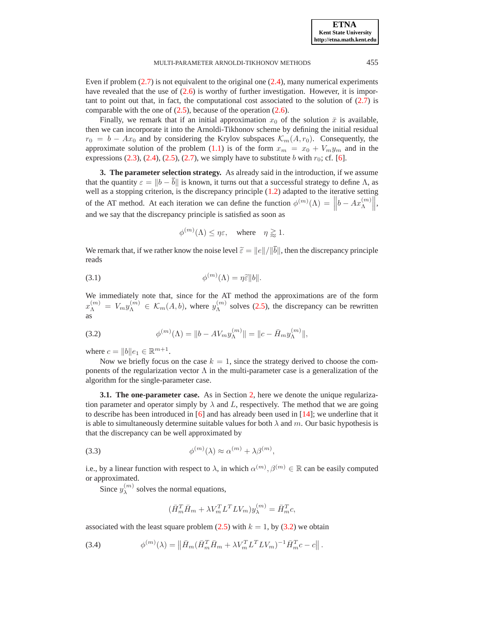**ETNA Kent State University http://etna.math.kent.edu**

MULTI-PARAMETER ARNOLDI-TIKHONOV METHODS 455

Even if problem  $(2.7)$  is not equivalent to the original one  $(2.4)$ , many numerical experiments have revealed that the use of  $(2.6)$  is worthy of further investigation. However, it is important to point out that, in fact, the computational cost associated to the solution of  $(2.7)$  is comparable with the one of  $(2.5)$ , because of the operation  $(2.6)$ .

Finally, we remark that if an initial approximation  $x_0$  of the solution  $\bar{x}$  is available, then we can incorporate it into the Arnoldi-Tikhonov scheme by defining the initial residual  $r_0 = b - Ax_0$  and by considering the Krylov subspaces  $\mathcal{K}_m(A, r_0)$ . Consequently, the approximate solution of the problem [\(1.1\)](#page-0-0) is of the form  $x_m = x_0 + V_m y_m$  and in the expressions  $(2.3)$ ,  $(2.4)$ ,  $(2.5)$ ,  $(2.7)$ , we simply have to substitute b with  $r_0$ ; cf. [\[6\]](#page-17-7).

<span id="page-3-0"></span>**3. The parameter selection strategy.** As already said in the introduction, if we assume that the quantity  $\varepsilon = ||b - \overline{b}||$  is known, it turns out that a successful strategy to define Λ, as well as a stopping criterion, is the discrepancy principle [\(1.2\)](#page-1-2) adapted to the iterative setting of the AT method. At each iteration we can define the function  $\phi^{(m)}(\Lambda) = \left\| b - Ax_{\Lambda}^{(m)} \right\|$  $\Big\|,$ and we say that the discrepancy principle is satisfied as soon as

<span id="page-3-4"></span>
$$
\phi^{(m)}(\Lambda) \le \eta \varepsilon, \quad \text{where} \quad \eta \gtrapprox 1.
$$

We remark that, if we rather know the noise level  $\tilde{\varepsilon} = ||e||/||\overline{b}||$ , then the discrepancy principle reads

(3.1) 
$$
\phi^{(m)}(\Lambda) = \eta \tilde{\varepsilon} ||b||.
$$

We immediately note that, since for the AT method the approximations are of the form  $x_{\Lambda}^{(m)} = V_m y_{\Lambda}^{(m)} \in \mathcal{K}_m(A, b)$ , where  $y_{\Lambda}^{(m)}$  $\Lambda^{(m)}$  solves [\(2.5\)](#page-2-2), the discrepancy can be rewritten as

<span id="page-3-1"></span>(3.2) 
$$
\phi^{(m)}(\Lambda) = ||b - AV_m y_{\Lambda}^{(m)}|| = ||c - \bar{H}_m y_{\Lambda}^{(m)}||,
$$

where  $c = ||b|| e_1 \in \mathbb{R}^{m+1}$ .

Now we briefly focus on the case  $k = 1$ , since the strategy derived to choose the components of the regularization vector  $\Lambda$  in the multi-parameter case is a generalization of the algorithm for the single-parameter case.

**3.1. The one-parameter case.** As in Section [2,](#page-1-0) here we denote the unique regularization parameter and operator simply by  $\lambda$  and L, respectively. The method that we are going to describe has been introduced in [\[6\]](#page-17-7) and has already been used in [\[14\]](#page-17-15); we underline that it is able to simultaneously determine suitable values for both  $\lambda$  and m. Our basic hypothesis is that the discrepancy can be well approximated by

<span id="page-3-2"></span>(3.3) 
$$
\phi^{(m)}(\lambda) \approx \alpha^{(m)} + \lambda \beta^{(m)},
$$

i.e., by a linear function with respect to  $\lambda$ , in which  $\alpha^{(m)}$ ,  $\beta^{(m)} \in \mathbb{R}$  can be easily computed or approximated.

Since  $y_{\lambda}^{(m)}$  solves the normal equations,

$$
(\bar{H}_m^T \bar{H}_m + \lambda V_m^T L^T L V_m) y_\lambda^{(m)} = \bar{H}_m^T c,
$$

associated with the least square problem  $(2.5)$  with  $k = 1$ , by  $(3.2)$  we obtain

<span id="page-3-3"></span>(3.4) 
$$
\phi^{(m)}(\lambda) = \left\| \bar{H}_m (\bar{H}_m^T \bar{H}_m + \lambda V_m^T L^T L V_m)^{-1} \bar{H}_m^T c - c \right\|.
$$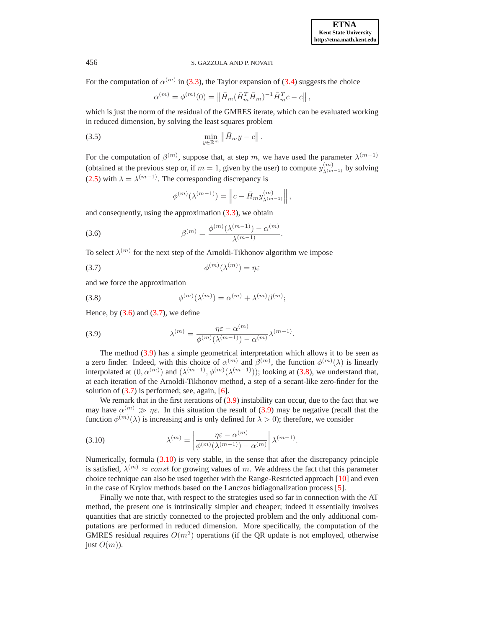For the computation of  $\alpha^{(m)}$  in [\(3.3\)](#page-3-2), the Taylor expansion of [\(3.4\)](#page-3-3) suggests the choice

<span id="page-4-5"></span>
$$
\alpha^{(m)} = \phi^{(m)}(0) = \left\| \bar{H}_m (\bar{H}_m^T \bar{H}_m)^{-1} \bar{H}_m^T c - c \right\|,
$$

which is just the norm of the residual of the GMRES iterate, which can be evaluated working in reduced dimension, by solving the least squares problem

$$
\min_{y \in \mathbb{R}^m} \left\| \bar{H}_m y - c \right\|.
$$

For the computation of  $\beta^{(m)}$ , suppose that, at step m, we have used the parameter  $\lambda^{(m-1)}$ (obtained at the previous step or, if  $m = 1$ , given by the user) to compute  $y_{\lambda^{(m-1)}}^{(m)}$  by solving [\(2.5\)](#page-2-2) with  $\lambda = \lambda^{(m-1)}$ . The corresponding discrepancy is

$$
\phi^{(m)}(\lambda^{(m-1)}) = \left\|c - \bar{H}_m y_{\lambda^{(m-1)}}^{(m)}\right\|,
$$

and consequently, using the approximation [\(3.3\)](#page-3-2), we obtain

<span id="page-4-0"></span>(3.6) 
$$
\beta^{(m)} = \frac{\phi^{(m)}(\lambda^{(m-1)}) - \alpha^{(m)}}{\lambda^{(m-1)}}.
$$

To select  $\lambda^{(m)}$  for the next step of the Arnoldi-Tikhonov algorithm we impose

<span id="page-4-1"></span>
$$
\phi^{(m)}(\lambda^{(m)}) = \eta \varepsilon
$$

and we force the approximation

<span id="page-4-3"></span>(3.8) 
$$
\phi^{(m)}(\lambda^{(m)}) = \alpha^{(m)} + \lambda^{(m)}\beta^{(m)};
$$

Hence, by  $(3.6)$  and  $(3.7)$ , we define

<span id="page-4-2"></span>(3.9) 
$$
\lambda^{(m)} = \frac{\eta \varepsilon - \alpha^{(m)}}{\phi^{(m)}(\lambda^{(m-1)}) - \alpha^{(m)}} \lambda^{(m-1)}.
$$

The method [\(3.9\)](#page-4-2) has a simple geometrical interpretation which allows it to be seen as a zero finder. Indeed, with this choice of  $\alpha^{(m)}$  and  $\beta^{(m)}$ , the function  $\phi^{(m)}(\lambda)$  is linearly interpolated at  $(0, \alpha^{(m)})$  and  $(\lambda^{(m-1)}, \phi^{(m)}(\lambda^{(m-1)}))$ ; looking at [\(3.8\)](#page-4-3), we understand that, at each iteration of the Arnoldi-Tikhonov method, a step of a secant-like zero-finder for the solution of  $(3.7)$  is performed; see, again, [\[6\]](#page-17-7).

We remark that in the first iterations of  $(3.9)$  instability can occur, due to the fact that we may have  $\alpha^{(m)} \gg \eta \varepsilon$ . In this situation the result of [\(3.9\)](#page-4-2) may be negative (recall that the function  $\phi^{(m)}(\lambda)$  is increasing and is only defined for  $\lambda > 0$ ); therefore, we consider

<span id="page-4-4"></span>(3.10) 
$$
\lambda^{(m)} = \left| \frac{\eta \varepsilon - \alpha^{(m)}}{\phi^{(m)}(\lambda^{(m-1)}) - \alpha^{(m)}} \right| \lambda^{(m-1)}.
$$

Numerically, formula [\(3.10\)](#page-4-4) is very stable, in the sense that after the discrepancy principle is satisfied,  $\lambda^{(m)} \approx const$  for growing values of m. We address the fact that this parameter choice technique can also be used together with the Range-Restricted approach [\[10\]](#page-17-8) and even in the case of Krylov methods based on the Lanczos bidiagonalization process [\[5\]](#page-17-6).

Finally we note that, with respect to the strategies used so far in connection with the AT method, the present one is intrinsically simpler and cheaper; indeed it essentially involves quantities that are strictly connected to the projected problem and the only additional computations are performed in reduced dimension. More specifically, the computation of the GMRES residual requires  $O(m^2)$  operations (if the QR update is not employed, otherwise just  $O(m)$ ).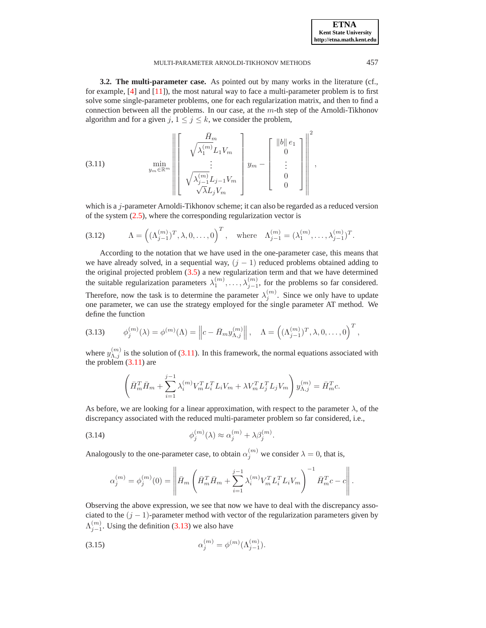,

<span id="page-5-5"></span>**3.2. The multi-parameter case.** As pointed out by many works in the literature (cf., for example,  $[4]$  and  $[11]$ ), the most natural way to face a multi-parameter problem is to first solve some single-parameter problems, one for each regularization matrix, and then to find a connection between all the problems. In our case, at the m-th step of the Arnoldi-Tikhonov algorithm and for a given  $j, 1 \le j \le k$ , we consider the problem,

<span id="page-5-0"></span>
$$
(3.11) \quad \min_{y_m \in \mathbb{R}^m} \left\| \begin{bmatrix} \bar{H}_m \\ \sqrt{\lambda_1^{(m)}} L_1 V_m \\ \vdots \\ \sqrt{\lambda_{j-1}^{(m)}} L_{j-1} V_m \\ \sqrt{\lambda L_j V_m} \end{bmatrix} y_m - \begin{bmatrix} ||b|| e_1 \\ 0 \\ \vdots \\ 0 \\ 0 \end{bmatrix} \right\|^2
$$

which is a *j*-parameter Arnoldi-Tikhonov scheme; it can also be regarded as a reduced version of the system  $(2.5)$ , where the corresponding regularization vector is

<span id="page-5-3"></span>(3.12) 
$$
\Lambda = \left( (\Lambda_{j-1}^{(m)})^T, \lambda, 0, \dots, 0 \right)^T, \text{ where } \Lambda_{j-1}^{(m)} = (\lambda_1^{(m)}, \dots, \lambda_{j-1}^{(m)})^T.
$$

According to the notation that we have used in the one-parameter case, this means that we have already solved, in a sequential way,  $(j - 1)$  reduced problems obtained adding to the original projected problem [\(3.5\)](#page-4-5) a new regularization term and that we have determined the suitable regularization parameters  $\lambda_1^{(m)}, \ldots, \lambda_{j-1}^{(m)}$ , for the problems so far considered. Therefore, now the task is to determine the parameter  $\lambda_j^{(m)}$ . Since we only have to update one parameter, we can use the strategy employed for the single parameter AT method. We define the function

<span id="page-5-1"></span>
$$
(3.13) \qquad \phi_j^{(m)}(\lambda) = \phi^{(m)}(\Lambda) = \left\|c - \bar{H}_m y_{\Lambda,j}^{(m)}\right\|, \quad \Lambda = \left((\Lambda_{j-1}^{(m)})^T, \lambda, 0, \ldots, 0\right)^T,
$$

where  $y_{\Lambda,j}^{(m)}$  is the solution of [\(3.11\)](#page-5-0). In this framework, the normal equations associated with the problem  $(3.11)$  are

$$
\left(\bar{H}_{m}^{T}\bar{H}_{m} + \sum_{i=1}^{j-1} \lambda_{i}^{(m)}V_{m}^{T}L_{i}^{T}L_{i}V_{m} + \lambda V_{m}^{T}L_{j}^{T}L_{j}V_{m}\right)y_{\Lambda,j}^{(m)} = \bar{H}_{m}^{T}c.
$$

As before, we are looking for a linear approximation, with respect to the parameter  $\lambda$ , of the discrepancy associated with the reduced multi-parameter problem so far considered, i.e.,

(3.14) 
$$
\phi_j^{(m)}(\lambda) \approx \alpha_j^{(m)} + \lambda \beta_j^{(m)}.
$$

Analogously to the one-parameter case, to obtain  $\alpha_j^{(m)}$  we consider  $\lambda = 0$ , that is,

<span id="page-5-2"></span>
$$
\alpha_j^{(m)} = \phi_j^{(m)}(0) = \left\| \bar{H}_m \left( \bar{H}_m^T \bar{H}_m + \sum_{i=1}^{j-1} \lambda_i^{(m)} V_m^T L_i^T L_i V_m \right)^{-1} \bar{H}_m^T c - c \right\|.
$$

Observing the above expression, we see that now we have to deal with the discrepancy associated to the  $(j - 1)$ -parameter method with vector of the regularization parameters given by  $\Lambda_{j-1}^{(m)}$ . Using the definition [\(3.13\)](#page-5-1) we also have

<span id="page-5-4"></span>(3.15) 
$$
\alpha_j^{(m)} = \phi^{(m)}(\Lambda_{j-1}^{(m)}).
$$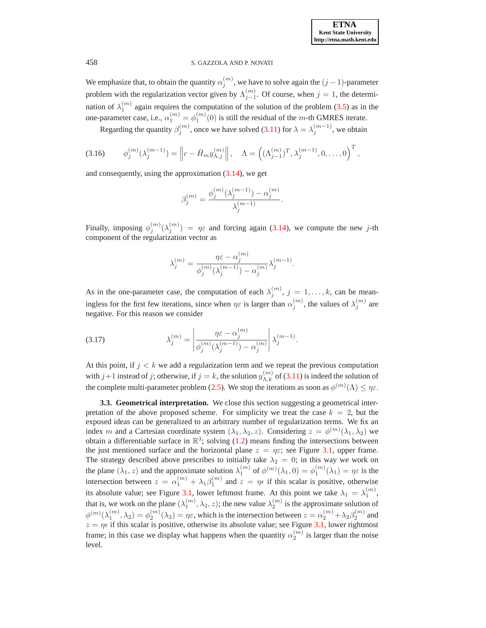We emphasize that, to obtain the quantity  $\alpha_j^{(m)}$ , we have to solve again the  $(j-1)$ -parameter problem with the regularization vector given by  $\Lambda_{j-1}^{(m)}$ . Of course, when  $j = 1$ , the determination of  $\lambda_1^{(m)}$  again requires the computation of the solution of the problem [\(3.5\)](#page-4-5) as in the one-parameter case, i.e.,  $\alpha_1^{(m)} = \phi_1^{(m)}(0)$  is still the residual of the *m*-th GMRES iterate.

Regarding the quantity  $\beta_j^{(m)}$ , once we have solved [\(3.11\)](#page-5-0) for  $\lambda = \lambda_j^{(m-1)}$ , we obtain

<span id="page-6-0"></span>
$$
(3.16) \t \phi_j^{(m)}(\lambda_j^{(m-1)}) = \left\| c - \bar{H}_m y_{\Lambda,j}^{(m)} \right\|, \quad \Lambda = \left( (\Lambda_{j-1}^{(m)})^T, \lambda_j^{(m-1)}, 0, \dots, 0 \right)^T,
$$

and consequently, using the approximation [\(3.14\)](#page-5-2), we get

$$
\beta_j^{(m)} = \frac{\phi_j^{(m)}(\lambda_j^{(m-1)}) - \alpha_j^{(m)}}{\lambda_j^{(m-1)}}.
$$

Finally, imposing  $\phi_j^{(m)}(\lambda_j^{(m)}) = \eta \varepsilon$  and forcing again [\(3.14\)](#page-5-2), we compute the new j-th component of the regularization vector as

$$
\lambda_j^{(m)} = \frac{\eta \varepsilon - \alpha_j^{(m)}}{\phi_j^{(m)}(\lambda_j^{(m-1)}) - \alpha_j^{(m)}} \lambda_j^{(m-1)}.
$$

As in the one-parameter case, the computation of each  $\lambda_j^{(m)}$ ,  $j = 1, \ldots, k$ , can be meaningless for the first few iterations, since when  $\eta \varepsilon$  is larger than  $\alpha_j^{(m)}$ , the values of  $\lambda_j^{(m)}$  are negative. For this reason we consider

<span id="page-6-1"></span>(3.17) 
$$
\lambda_j^{(m)} = \left| \frac{\eta \varepsilon - \alpha_j^{(m)}}{\phi_j^{(m)}(\lambda_j^{(m-1)}) - \alpha_j^{(m)}} \right| \lambda_j^{(m-1)}.
$$

At this point, if  $j < k$  we add a regularization term and we repeat the previous computation with  $j+1$  instead of j; otherwise, if  $j = k$ , the solution  $y_{\Lambda,k}^{(m)}$  of [\(3.11\)](#page-5-0) is indeed the solution of the complete multi-parameter problem [\(2.5\)](#page-2-2). We stop the iterations as soon as  $\phi^{(m)}(\Lambda) \leq \eta \varepsilon$ .

**3.3. Geometrical interpretation.** We close this section suggesting a geometrical interpretation of the above proposed scheme. For simplicity we treat the case  $k = 2$ , but the exposed ideas can be generalized to an arbitrary number of regularization terms. We fix an index m and a Cartesian coordinate system  $(\lambda_1, \lambda_2, z)$ . Considering  $z = \phi^{(m)}(\lambda_1, \lambda_2)$  we obtain a differentiable surface in  $\mathbb{R}^3$ ; solving [\(1.2\)](#page-1-2) means finding the intersections between the just mentioned surface and the horizontal plane  $z = \eta \varepsilon$ ; see Figure [3.1,](#page-10-0) upper frame. The strategy described above prescribes to initially take  $\lambda_2 = 0$ ; in this way we work on the plane  $(\lambda_1, z)$  and the approximate solution  $\lambda_1^{(m)}$  of  $\phi^{(m)}(\lambda_1, 0) = \phi^{(m)}(1, 0) = \eta \varepsilon$  is the intersection between  $z = \alpha_1^{(m)} + \lambda_1 \beta_1^{(m)}$  and  $z = \eta \epsilon$  if this scalar is positive, otherwise its absolute value; see Figure [3.1,](#page-10-0) lower leftmost frame. At this point we take  $\lambda_1 = \lambda_1^{(m)}$ , that is, we work on the plane  $(\lambda_1^{(m)}, \lambda_2, z)$ ; the new value  $\lambda_2^{(m)}$  is the approximate solution of  $\phi^{(m)}(\lambda_1^{(m)},\lambda_2)=\phi^{(m)}_2(\lambda_2)=\eta\varepsilon$ , which is the intersection between  $z=\alpha_2^{(m)}+\lambda_2\beta_2^{(m)}$  and  $z = \eta \epsilon$  if this scalar is positive, otherwise its absolute value; see Figure [3.1,](#page-10-0) lower rightmost frame; in this case we display what happens when the quantity  $\alpha_2^{(m)}$  is larger than the noise level.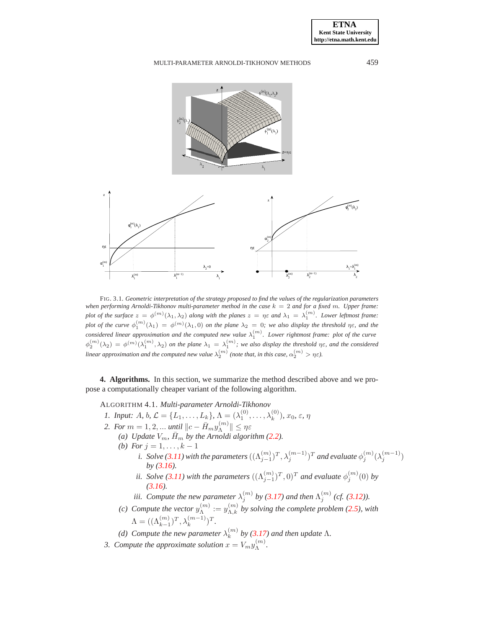



FIG. 3.1. *Geometric interpretation of the strategy proposed to find the values of the regularization parameters when performing Arnoldi-Tikhonov multi-parameter method in the case* k = 2 *and for a fixed* m*. Upper frame: plot of the surface*  $z = \phi^{(m)}(\lambda_1, \lambda_2)$  *along with the planes*  $z = \eta \varepsilon$  *and*  $\lambda_1 = \lambda_1^{(m)}$ . Lower leftmost frame: plot of the curve  $\phi_1^{(m)}(\lambda_1) = \phi^{(m)}(\lambda_1, 0)$  on the plane  $\lambda_2 = 0$ ; we also display the threshold  $\eta \varepsilon$ , and the *considered linear approximation and the computed new value*  $\lambda_1^{(m)}$ . Lower rightmost frame: plot of the curve  $\phi_2^{(m)}(\lambda_2) = \phi^{(m)}(\lambda_1^{(m)}, \lambda_2)$  on the plane  $\lambda_1 = \lambda_1^{(m)}$ ; we also display the threshold  $\eta \varepsilon$ , and the considered *linear approximation and the computed new value*  $\lambda_2^{(m)}$  (note that, in this case,  $\alpha_2^{(m)} > \eta \varepsilon$ ).

<span id="page-7-1"></span><span id="page-7-0"></span>**4. Algorithms.** In this section, we summarize the method described above and we propose a computationally cheaper variant of the following algorithm.

ALGORITHM 4.1. *Multi-parameter Arnoldi-Tikhonov*

- *1. Input: A, b,*  $\mathcal{L} = \{L_1, \ldots, L_k\}, \Lambda = (\lambda_1^{(0)}, \ldots, \lambda_k^{(0)}), x_0, \varepsilon, \eta$
- <span id="page-7-2"></span>*2. For*  $m = 1, 2, ...$  *until*  $||c - \bar{H}_m y_{\Lambda}^{(m)}$  $\Vert \Lambda^{(m)} \Vert \leq \eta \varepsilon$ 
	- *(a)* Update  $V_m$ ,  $\bar{H}_m$  by the Arnoldi algorithm [\(2.2\)](#page-2-1). *(b)* For  $j = 1, ..., k - 1$ 
		- i. Solve [\(3.11\)](#page-5-0) with the parameters  $((\Lambda_{j-1}^{(m)})^T,\lambda_j^{(m-1)})^T$  and evaluate  $\phi_j^{(m)}(\lambda_j^{(m-1)})$ *by [\(3.16\)](#page-6-0).*
		- *ii.* Solve [\(3.11\)](#page-5-0) with the parameters  $((\Lambda_{j-1}^{(m)})^T, 0)^T$  and evaluate  $\phi_j^{(m)}(0)$  by *[\(3.16\)](#page-6-0).*
		- *iii.* Compute the new parameter  $\lambda_j^{(m)}$  by [\(3.17\)](#page-6-1) and then  $\Lambda_j^{(m)}$  (cf. [\(3.12\)](#page-5-3)).
	- (c) Compute the vector  $y_{\Lambda}^{(m)}$  $\chi_{\Lambda}^{(m)} := y_{\Lambda,k}^{(m)}$  by solving the complete problem [\(2.5\)](#page-2-2), with  $\Lambda = ((\Lambda_{k-1}^{(m)})^T, \lambda_k^{(m-1)})^T.$
	- *(d)* Compute the new parameter  $\lambda_k^{(m)}$  by [\(3.17\)](#page-6-1) and then update  $\Lambda$ .
- 3. Compute the approximate solution  $x = V_m y_{\Lambda}^{(m)}$ Λ *.*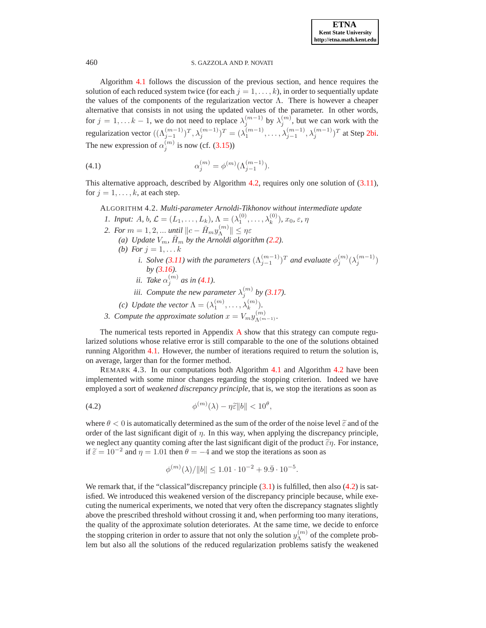Algorithm [4.1](#page-7-1) follows the discussion of the previous section, and hence requires the solution of each reduced system twice (for each  $j = 1, \ldots, k$ ), in order to sequentially update the values of the components of the regularization vector  $\Lambda$ . There is however a cheaper alternative that consists in not using the updated values of the parameter. In other words, for  $j = 1, \ldots k - 1$ , we do not need to replace  $\lambda_j^{(m-1)}$  by  $\lambda_j^{(m)}$ , but we can work with the regularization vector  $((\Lambda_{j-1}^{(m-1)})^T, \lambda_j^{(m-1)})^T = (\lambda_1^{(m-1)}, \ldots, \lambda_{j-1}^{(m-1)}, \lambda_j^{(m-1)})^T$  at Step [2bi.](#page-7-2) The new expression of  $\alpha_j^{(m)}$  is now (cf. [\(3.15\)](#page-5-4))

<span id="page-8-1"></span>(4.1) 
$$
\alpha_j^{(m)} = \phi^{(m)}(\Lambda_{j-1}^{(m-1)}).
$$

<span id="page-8-0"></span>This alternative approach, described by Algorithm [4.2,](#page-8-0) requires only one solution of [\(3.11\)](#page-5-0), for  $j = 1, \ldots, k$ , at each step.

ALGORITHM 4.2. *Multi-parameter Arnoldi-Tikhonov without intermediate update 1. Input: A, b,*  $\mathcal{L} = (L_1, \ldots, L_k)$ ,  $\Lambda = (\lambda_1^{(0)}, \ldots, \lambda_k^{(0)})$ ,  $x_0, \varepsilon, \eta$ *2. For*  $m = 1, 2, ...$  *until*  $||c - \bar{H}_m y_{\Lambda}^{(m)}||$  $\Vert \Lambda^{(m)} \Vert \leq \eta \varepsilon$ *(a) Update*  $V_m$ *,*  $H_m$  *by the Arnoldi algorithm [\(2.2\)](#page-2-1). (b)* For  $j = 1, ... k$ *i.* Solve [\(3.11\)](#page-5-0) with the parameters  $(\Lambda_{j-1}^{(m-1)})^T$  and evaluate  $\phi_j^{(m)}(\lambda_j^{(m-1)})$ *by [\(3.16\)](#page-6-0). ii.* Take  $\alpha_j^{(m)}$  as in [\(4.1\)](#page-8-1). *iii. Compute the new parameter*  $\lambda_j^{(m)}$  by [\(3.17\)](#page-6-1). *(c) Update the vector*  $\Lambda = (\lambda_1^{(m)}, \dots, \lambda_k^{(m)})$ *.* 

*3. Compute the approximate solution*  $x = V_m y_{\Lambda^{(m-1)}}^{(m)}$ .

The numerical tests reported in Appendix [A](#page-17-10) show that this strategy can compute regularized solutions whose relative error is still comparable to the one of the solutions obtained running Algorithm [4.1.](#page-7-1) However, the number of iterations required to return the solution is, on average, larger than for the former method.

REMARK 4.3. In our computations both Algorithm [4.1](#page-7-1) and Algorithm [4.2](#page-8-0) have been implemented with some minor changes regarding the stopping criterion. Indeed we have employed a sort of *weakened discrepancy principle*, that is, we stop the iterations as soon as

<span id="page-8-2"></span>(4.2) 
$$
\phi^{(m)}(\lambda) - \eta \tilde{\epsilon} ||b|| < 10^{\theta},
$$

where  $\theta < 0$  is automatically determined as the sum of the order of the noise level  $\tilde{\varepsilon}$  and of the order of the last significant digit of  $\eta$ . In this way, when applying the discrepancy principle, we neglect any quantity coming after the last significant digit of the product  $\tilde{\epsilon}\eta$ . For instance, if  $\tilde{\varepsilon} = 10^{-2}$  and  $\eta = 1.01$  then  $\theta = -4$  and we stop the iterations as soon as

$$
\phi^{(m)}(\lambda)/\|b\| \le 1.01 \cdot 10^{-2} + 9.\overline{9} \cdot 10^{-5}.
$$

We remark that, if the "classical" discrepancy principle  $(3.1)$  is fulfilled, then also  $(4.2)$  is satisfied. We introduced this weakened version of the discrepancy principle because, while executing the numerical experiments, we noted that very often the discrepancy stagnates slightly above the prescribed threshold without crossing it and, when performing too many iterations, the quality of the approximate solution deteriorates. At the same time, we decide to enforce the stopping criterion in order to assure that not only the solution  $y_{\Lambda}^{(m)}$  $\Lambda^{(m)}$  of the complete problem but also all the solutions of the reduced regularization problems satisfy the weakened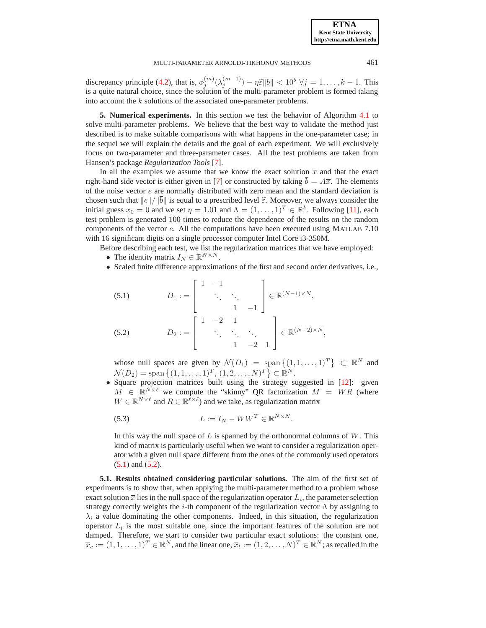discrepancy principle [\(4.2\)](#page-8-2), that is,  $\phi_j^{(m)}(\lambda_j^{(m-1)}) - \eta \tilde{\epsilon} ||b|| < 10^{\theta} \ \forall j = 1, \ldots, k-1$ . This is a quite natural choice, since the solution of the multi-parameter problem is formed taking into account the k solutions of the associated one-parameter problems.

<span id="page-9-0"></span>**5. Numerical experiments.** In this section we test the behavior of Algorithm [4.1](#page-7-1) to solve multi-parameter problems. We believe that the best way to validate the method just described is to make suitable comparisons with what happens in the one-parameter case; in the sequel we will explain the details and the goal of each experiment. We will exclusively focus on two-parameter and three-parameter cases. All the test problems are taken from Hansen's package *Regularization Tools* [\[7\]](#page-17-16).

In all the examples we assume that we know the exact solution  $\bar{x}$  and that the exact right-hand side vector is either given in [\[7\]](#page-17-16) or constructed by taking  $b = A\overline{x}$ . The elements of the noise vector  $e$  are normally distributed with zero mean and the standard deviation is chosen such that  $||e||/||\overline{b}||$  is equal to a prescribed level  $\tilde{\varepsilon}$ . Moreover, we always consider the initial guess  $x_0 = 0$  and we set  $\eta = 1.01$  and  $\Lambda = (1, \dots, 1)^T \in \mathbb{R}^k$ . Following [\[11\]](#page-17-0), each test problem is generated 100 times to reduce the dependence of the results on the random components of the vector  $e$ . All the computations have been executed using MATLAB 7.10 with 16 significant digits on a single processor computer Intel Core i3-350M.

Before describing each test, we list the regularization matrices that we have employed:

- The identity matrix  $I_N \in \mathbb{R}^{N \times N}$ .
- Scaled finite difference approximations of the first and second order derivatives, i.e.,

<span id="page-9-1"></span>(5.1) 
$$
D_1 := \begin{bmatrix} 1 & -1 & & \\ & \ddots & \ddots & \\ & & 1 & -1 \end{bmatrix} \in \mathbb{R}^{(N-1) \times N},
$$
  
\n(5.2) 
$$
D_2 := \begin{bmatrix} 1 & -2 & 1 & \\ & \ddots & \ddots & \ddots \\ & & 1 & -2 & 1 \end{bmatrix} \in \mathbb{R}^{(N-2) \times N},
$$

whose null spaces are given by  $\mathcal{N}(D_1) = \text{span} \left\{ (1, 1, \dots, 1)^T \right\} \subset \mathbb{R}^N$  and  $\mathcal{N}(D_2) = \text{span} \{ (1, 1, \dots, 1)^T, (1, 2, \dots, N)^T \} \subset \mathbb{R}^N.$ 

• Square projection matrices built using the strategy suggested in [\[12\]](#page-17-17): given  $M \in \mathbb{R}^{N \times \ell}$  we compute the "skinny" QR factorization  $M = WR$  (where  $W \in \mathbb{R}^{N \times \ell}$  and  $R \in \mathbb{R}^{\overline{\ell} \times \ell}$ ) and we take, as regularization matrix

<span id="page-9-2"></span>(5.3) 
$$
L := I_N - WW^T \in \mathbb{R}^{N \times N}.
$$

In this way the null space of  $L$  is spanned by the orthonormal columns of  $W$ . This kind of matrix is particularly useful when we want to consider a regularization operator with a given null space different from the ones of the commonly used operators [\(5.1\)](#page-9-1) and [\(5.2\)](#page-9-1).

**5.1. Results obtained considering particular solutions.** The aim of the first set of experiments is to show that, when applying the multi-parameter method to a problem whose exact solution  $\bar{x}$  lies in the null space of the regularization operator  $L_i$ , the parameter selection strategy correctly weights the *i*-th component of the regularization vector  $\Lambda$  by assigning to  $\lambda_i$  a value dominating the other components. Indeed, in this situation, the regularization operator  $L_i$  is the most suitable one, since the important features of the solution are not damped. Therefore, we start to consider two particular exact solutions: the constant one,  $\overline{x}_c := (1, 1, \ldots, 1)^T \in \mathbb{R}^N$ , and the linear one,  $\overline{x}_l := (1, 2, \ldots, N)^T \in \mathbb{R}^N$ ; as recalled in the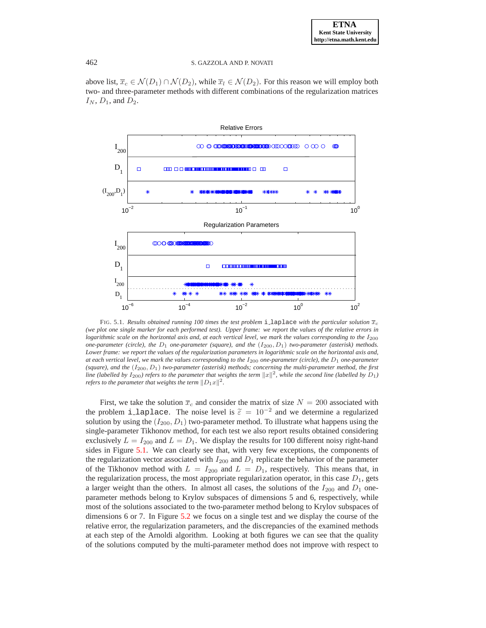above list,  $\overline{x}_c \in \mathcal{N}(D_1) \cap \mathcal{N}(D_2)$ , while  $\overline{x}_l \in \mathcal{N}(D_2)$ . For this reason we will employ both two- and three-parameter methods with different combinations of the regularization matrices  $I_N$ ,  $D_1$ , and  $D_2$ .



<span id="page-10-0"></span>FIG. 5.1. *Results obtained running 100 times the test problem* i laplace with the particular solution  $\bar{x}_c$ *(we plot one single marker for each performed test). Upper frame: we report the values of the relative errors in logarithmic scale on the horizontal axis and, at each vertical level, we mark the values corresponding to the*  $I_{200}$ *one-parameter (circle), the* D<sup>1</sup> *one-parameter (square), and the* (I200, D1) *two-parameter (asterisk) methods. Lower frame: we report the values of the regularization parameters in logarithmic scale on the horizontal axis and, at each vertical level, we mark the values corresponding to the* I<sup>200</sup> *one-parameter (circle), the* D<sup>1</sup> *one-parameter (square), and the* (I200, D1) *two-parameter (asterisk) methods; concerning the multi-parameter method, the first* line (labelled by  $I_{200}$ ) refers to the parameter that weights the term  $\|x\|^2$ , while the second line (labelled by  $D_1$ ) *refers to the parameter that weights the term*  $||D_1x||^2$ .

First, we take the solution  $\bar{x}_c$  and consider the matrix of size  $N = 200$  associated with the problem i laplace. The noise level is  $\tilde{\varepsilon} = 10^{-2}$  and we determine a regularized solution by using the  $(I_{200}, D_1)$  two-parameter method. To illustrate what happens using the single-parameter Tikhonov method, for each test we also report results obtained considering exclusively  $L = I_{200}$  and  $L = D_1$ . We display the results for 100 different noisy right-hand sides in Figure [5.1.](#page-10-0) We can clearly see that, with very few exceptions, the components of the regularization vector associated with  $I_{200}$  and  $D_1$  replicate the behavior of the parameter of the Tikhonov method with  $L = I_{200}$  and  $L = D_1$ , respectively. This means that, in the regularization process, the most appropriate regularization operator, in this case  $D_1$ , gets a larger weight than the others. In almost all cases, the solutions of the  $I_{200}$  and  $D_1$  oneparameter methods belong to Krylov subspaces of dimensions 5 and 6, respectively, while most of the solutions associated to the two-parameter method belong to Krylov subspaces of dimensions 6 or 7. In Figure [5.2](#page-11-0) we focus on a single test and we display the course of the relative error, the regularization parameters, and the discrepancies of the examined methods at each step of the Arnoldi algorithm. Looking at both figures we can see that the quality of the solutions computed by the multi-parameter method does not improve with respect to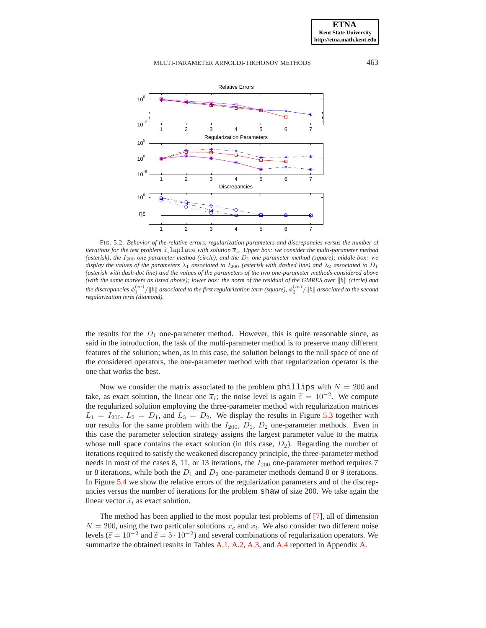

<span id="page-11-0"></span>FIG. 5.2. *Behavior of the relative errors, regularization parameters and discrepancies versus the number of iterations for the test problem*  $i$  laplace *with solution*  $\overline{x}_c$ *. Upper box: we consider the multi-parameter method (asterisk), the* I<sup>200</sup> *one-parameter method (circle), and the* D<sup>1</sup> *one-parameter method (square); middle box: we display the values of the parameters*  $\lambda_1$  *associated to*  $I_{200}$  *(asterisk with dashed line) and*  $\lambda_2$  *associated to*  $D_1$ *(asterisk with dash-dot line) and the values of the parameters of the two one-parameter methods considered above (with the same markers as listed above); lower box: the norm of the residual of the GMRES over*  $||b||$  *(circle) and* the discrepancies  $\phi_1^{(m)}/\|b\|$  associated to the first regularization term (square),  $\phi_2^{(m)}/\|b\|$  associated to the second *regularization term (diamond).*

the results for the  $D_1$  one-parameter method. However, this is quite reasonable since, as said in the introduction, the task of the multi-parameter method is to preserve many different features of the solution; when, as in this case, the solution belongs to the null space of one of the considered operators, the one-parameter method with that regularization operator is the one that works the best.

Now we consider the matrix associated to the problem phillips with  $N = 200$  and take, as exact solution, the linear one  $\overline{x}_i$ ; the noise level is again  $\tilde{\varepsilon} = 10^{-2}$ . We compute the regularized solution employing the three-parameter method with regularization matrices  $L_1 = I_{200}$ ,  $L_2 = D_1$ , and  $L_3 = D_2$ . We display the results in Figure [5.3](#page-12-0) together with our results for the same problem with the  $I_{200}$ ,  $D_1$ ,  $D_2$  one-parameter methods. Even in this case the parameter selection strategy assigns the largest parameter value to the matrix whose null space contains the exact solution (in this case,  $D_2$ ). Regarding the number of iterations required to satisfy the weakened discrepancy principle, the three-parameter method needs in most of the cases 8, 11, or 13 iterations, the  $I_{200}$  one-parameter method requires 7 or 8 iterations, while both the  $D_1$  and  $D_2$  one-parameter methods demand 8 or 9 iterations. In Figure [5.4](#page-13-0) we show the relative errors of the regularization parameters and of the discrepancies versus the number of iterations for the problem shaw of size 200. We take again the linear vector  $\overline{x}_l$  as exact solution.

The method has been applied to the most popular test problems of [\[7\]](#page-17-16), all of dimension  $N = 200$ , using the two particular solutions  $\bar{x}_c$  and  $\bar{x}_l$ . We also consider two different noise levels ( $\tilde{\epsilon} = 10^{-2}$  and  $\tilde{\epsilon} = 5 \cdot 10^{-2}$ ) and several combinations of regularization operators. We summarize the obtained results in Tables [A.1,](#page-18-0) [A.2,](#page-19-0) [A.3,](#page-20-0) and [A.4](#page-21-0) reported in Appendix [A.](#page-17-10)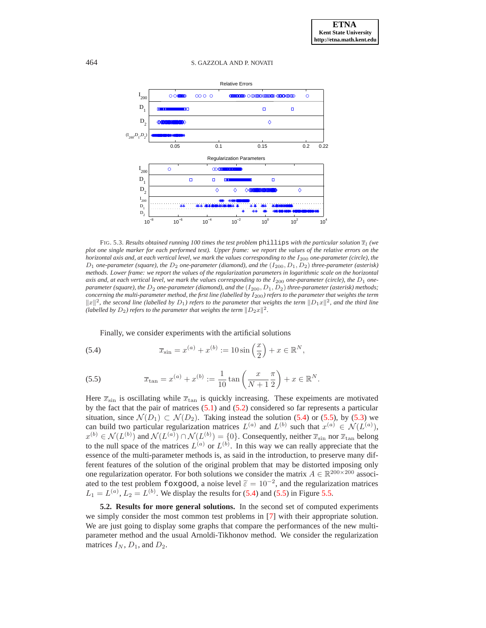

<span id="page-12-0"></span>FIG. 5.3. *Results obtained running 100 times the test problem*  $\phi$ hillips *with the particular solution*  $\overline{x}_l$  (we *plot one single marker for each performed test). Upper frame: we report the values of the relative errors on the horizontal axis and, at each vertical level, we mark the values corresponding to the*  $I_{200}$  *one-parameter (circle), the* D<sup>1</sup> *one-parameter (square), the* D<sup>2</sup> *one-parameter (diamond), and the* (I200, D1, D2) *three-parameter (asterisk) methods. Lower frame: we report the values of the regularization parameters in logarithmic scale on the horizontal axis and, at each vertical level, we mark the values corresponding to the*  $I_{200}$  *one-parameter (circle), the*  $D_1$  *oneparameter (square), the*  $D_2$  *one-parameter (diamond), and the* ( $I_{200}$ ,  $D_1$ ,  $D_2$ ) *three-parameter (asterisk) methods; concerning the multi-parameter method, the first line (labelled by* I200*) refers to the parameter that weights the term*  $||x||^2$ , the second line (labelled by  $D_1$ ) refers to the parameter that weights the term  $||D_1x||^2$ , and the third line (labelled by  $D_2$ ) refers to the parameter that weights the term  $||D_2x||^2$ .

<span id="page-12-1"></span>Finally, we consider experiments with the artificial solutions

(5.4) 
$$
\overline{x}_{\sin} = x^{(a)} + x^{(b)} := 10 \sin\left(\frac{x}{2}\right) + x \in \mathbb{R}^N,
$$

<span id="page-12-2"></span>(5.5) 
$$
\overline{x}_{\tan} = x^{(a)} + x^{(b)} := \frac{1}{10} \tan \left( \frac{x}{N+1} \frac{\pi}{2} \right) + x \in \mathbb{R}^N.
$$

Here  $\bar{x}_{\text{sin}}$  is oscillating while  $\bar{x}_{\text{tan}}$  is quickly increasing. These expeiments are motivated by the fact that the pair of matrices [\(5.1\)](#page-9-1) and [\(5.2\)](#page-9-1) considered so far represents a particular situation, since  $\mathcal{N}(D_1) \subset \mathcal{N}(D_2)$ . Taking instead the solution [\(5.4\)](#page-12-1) or [\(5.5\)](#page-12-2), by [\(5.3\)](#page-9-2) we can build two particular regularization matrices  $L^{(a)}$  and  $L^{(b)}$  such that  $x^{(a)} \in \mathcal{N}(L^{(a)}),$  $x^{(b)} \in \mathcal{N}(L^{(b)})$  and  $\mathcal{N}(L^{(a)}) \cap \mathcal{N}(L^{(b)}) = \{0\}$ . Consequently, neither  $\overline{x}_{\text{sin}}$  nor  $\overline{x}_{\text{tan}}$  belong to the null space of the matrices  $L^{(a)}$  or  $L^{(b)}$ . In this way we can really appreciate that the essence of the multi-parameter methods is, as said in the introduction, to preserve many different features of the solution of the original problem that may be distorted imposing only one regularization operator. For both solutions we consider the matrix  $A \in \mathbb{R}^{200 \times 200}$  associated to the test problem foxgood, a noise level  $\tilde{\epsilon} = 10^{-2}$ , and the regularization matrices  $L_1 = L^{(a)}$ ,  $L_2 = L^{(b)}$ . We display the results for [\(5.4\)](#page-12-1) and [\(5.5\)](#page-12-2) in Figure [5.5.](#page-14-0)

**5.2. Results for more general solutions.** In the second set of computed experiments we simply consider the most common test problems in [\[7\]](#page-17-16) with their appropriate solution. We are just going to display some graphs that compare the performances of the new multiparameter method and the usual Arnoldi-Tikhonov method. We consider the regularization matrices  $I_N$ ,  $D_1$ , and  $D_2$ .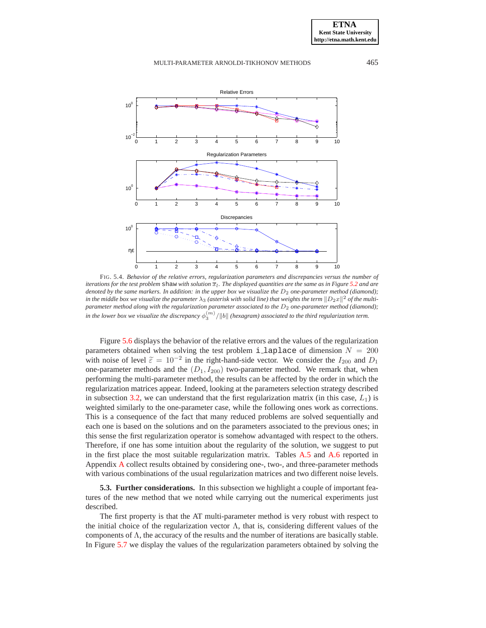

<span id="page-13-0"></span>FIG. 5.4. *Behavior of the relative errors, regularization parameters and discrepancies versus the number of iterations for the test problem*  $\sinh x$  *with solution*  $\overline{x}_l$ . The displayed quantities are the same as in Figure [5.2](#page-11-0) and are *denoted by the same markers. In addition: in the upper box we visualize the*  $D_2$  *one-parameter method (diamond);* in the middle box we visualize the parameter  $\lambda_3$  (asterisk with solid line) that weights the term  $\|D_2x\|^2$  of the multi*parameter method along with the regularization parameter associated to the*  $D_2$  *one-parameter method (diamond);*  $\hat{h}$  in the lower box we visualize the discrepancy  $\phi_3^{(m)}/\|b\|$  (hexagram) associated to the third regularization term.

Figure [5.6](#page-15-1) displays the behavior of the relative errors and the values of the regularization parameters obtained when solving the test problem i\_laplace of dimension  $N = 200$ with noise of level  $\tilde{\varepsilon} = 10^{-2}$  in the right-hand-side vector. We consider the  $I_{200}$  and  $D_1$ one-parameter methods and the  $(D_1, I_{200})$  two-parameter method. We remark that, when performing the multi-parameter method, the results can be affected by the order in which the regularization matrices appear. Indeed, looking at the parameters selection strategy described in subsection [3.2,](#page-5-5) we can understand that the first regularization matrix (in this case,  $L_1$ ) is weighted similarly to the one-parameter case, while the following ones work as corrections. This is a consequence of the fact that many reduced problems are solved sequentially and each one is based on the solutions and on the parameters associated to the previous ones; in this sense the first regularization operator is somehow advantaged with respect to the others. Therefore, if one has some intuition about the regularity of the solution, we suggest to put in the first place the most suitable regularization matrix. Tables [A.5](#page-22-0) and [A.6](#page-23-0) reported in Appendix [A](#page-17-10) collect results obtained by considering one-, two-, and three-parameter methods with various combinations of the usual regularization matrices and two different noise levels.

**5.3. Further considerations.** In this subsection we highlight a couple of important features of the new method that we noted while carrying out the numerical experiments just described.

The first property is that the AT multi-parameter method is very robust with respect to the initial choice of the regularization vector  $\Lambda$ , that is, considering different values of the components of Λ, the accuracy of the results and the number of iterations are basically stable. In Figure [5.7](#page-16-0) we display the values of the regularization parameters obtained by solving the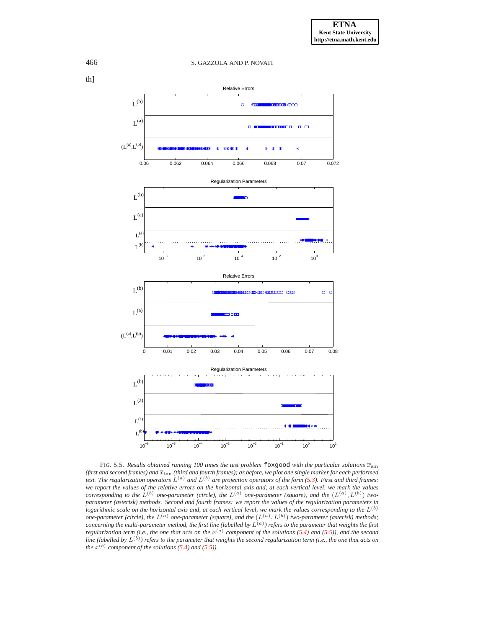

<span id="page-14-0"></span>FIG. 5.5. *Results obtained running 100 times the test problem*  $\pm \infty$  foxgood *with the particular solutions*  $\bar{x}_{\text{sin}}$ *(first and second frames) and*  $\bar{x}_{\tan}$  *(third and fourth frames); as before, we plot one single marker for each performed test. The regularization operators* L(a) *and* L(b) *are projection operators of the form [\(5.3\)](#page-9-2). First and third frames: we report the values of the relative errors on the horizontal axis and, at each vertical level, we mark the values corresponding to the*  $L^{(b)}$  *one-parameter (circle), the*  $L^{(a)}$  *one-parameter (square), and the*  $(L^{(a)}, L^{(b)})$  *twoparameter (asterisk) methods. Second and fourth frames: we report the values of the regularization parameters in*  $logarithmic scale$  on the horizontal axis and, at each vertical level, we mark the values corresponding to the  $L^{(b)}$ one-parameter (circle), the  $L^{(a)}$  one-parameter (square), and the  $(L^{(a)}, L^{(b)})$  two-parameter (asterisk) methods;<br>concerning the multi-parameter method, the first line (labelled by  $L^{(a)}$ ) refers to the parameter that w *regularization term (i.e., the one that acts on the*  $x^{(a)}$  *component of the solutions [\(5.4\)](#page-12-1) and [\(5.5\)](#page-12-2)), and the second line (labelled by* L(b) *) refers to the parameter that weights the second regularization term (i.e., the one that acts on the*  $x^{(b)}$  component of the solutions [\(5.4\)](#page-12-1) and [\(5.5\)](#page-12-2)).

th]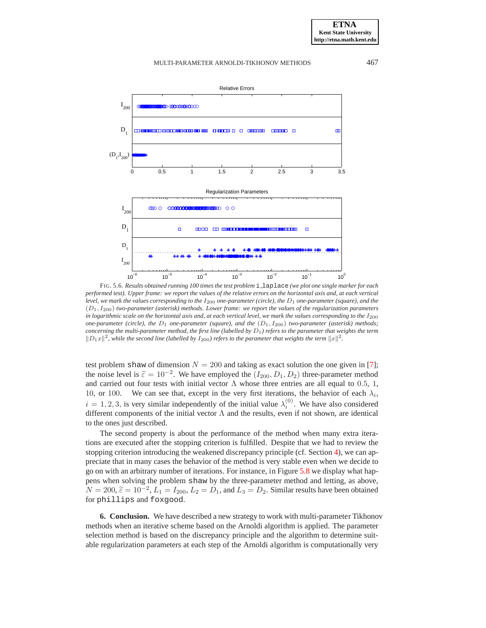

<span id="page-15-1"></span>FIG. 5.6. *Results obtained running 100 times the test problem* i laplace *(we plot one single marker for each performed test). Upper frame: we report the values of the relative errors on the horizontal axis and, at each vertical level, we mark the values corresponding to the*  $I_{200}$  *one-parameter (circle), the*  $D_1$  *one-parameter (square), and the* (D1, I200) *two-parameter (asterisk) methods. Lower frame: we report the values of the regularization parameters in logarithmic scale on the horizontal axis and, at each vertical level, we mark the values corresponding to the*  $I_{200}$ *one-parameter (circle), the*  $D_1$  *one-parameter (square), and the*  $(D_1, I_{200})$  *two-parameter (asterisk) methods; concerning the multi-parameter method, the first line (labelled by*  $D_1$ ) *refers to the parameter that weights the term*  $||D_1x||^2$ , while the second line (labelled by  $I_{200}$ ) refers to the parameter that weights the term  $||x||^2$ .

test problem shaw of dimension  $N = 200$  and taking as exact solution the one given in [\[7\]](#page-17-16); the noise level is  $\tilde{\varepsilon} = 10^{-2}$ . We have employed the  $(I_{200}, D_1, D_2)$  three-parameter method and carried out four tests with initial vector  $\Lambda$  whose three entries are all equal to 0.5, 1, 10, or 100. We can see that, except in the very first iterations, the behavior of each  $\lambda_i$ ,  $i = 1, 2, 3$ , is very similar independently of the initial value  $\lambda_i^{(0)}$ . We have also considered different components of the initial vector  $\Lambda$  and the results, even if not shown, are identical to the ones just described.

The second property is about the performance of the method when many extra iterations are executed after the stopping criterion is fulfilled. Despite that we had to review the stopping criterion introducing the weakened discrepancy principle (cf. Section [4\)](#page-7-0), we can appreciate that in many cases the behavior of the method is very stable even when we decide to go on with an arbitrary number of iterations. For instance, in Figure [5.8](#page-16-1) we display what happens when solving the problem shaw by the three-parameter method and letting, as above,  $N = 200$ ,  $\widetilde{\epsilon} = 10^{-2}$ ,  $L_1 = I_{200}$ ,  $L_2 = D_1$ , and  $L_3 = D_2$ . Similar results have been obtained for phillips and foxgood.

<span id="page-15-0"></span>**6. Conclusion.** We have described a new strategy to work with multi-parameter Tikhonov methods when an iterative scheme based on the Arnoldi algorithm is applied. The parameter selection method is based on the discrepancy principle and the algorithm to determine suitable regularization parameters at each step of the Arnoldi algorithm is computationally very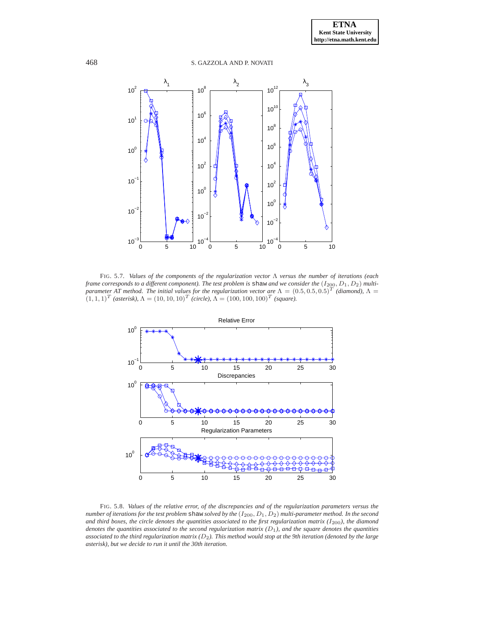

<span id="page-16-0"></span>FIG. 5.7. *Values of the components of the regularization vector* Λ *versus the number of iterations (each frame corresponds to a different component*). The test problem is shaw and we consider the  $(I_{200}, D_1, D_2)$  multi*parameter AT method. The initial values for the regularization vector are*  $\Lambda = (0.5, 0.5, 0.5)^T$  *(diamond)*,  $\Lambda =$  $(1, 1, 1)^T$  *(asterisk),*  $\Lambda = (10, 10, 10)^T$  *(circle),*  $\Lambda = (100, 100, 100)^T$  *(square).* 



<span id="page-16-1"></span>FIG. 5.8. *Values of the relative error, of the discrepancies and of the regularization parameters versus the number of iterations for the test problem* shaw *solved by the* (I200, D1, D2) *multi-parameter method. In the second* and third boxes, the circle denotes the quantities associated to the first regularization matrix ( $I_{200}$ ), the diamond *denotes the quantities associated to the second regularization matrix*  $(D_1)$ *, and the square denotes the quantities associated to the third regularization matrix (*D2*). This method would stop at the 9th iteration (denoted by the large asterisk), but we decide to run it until the 30th iteration.*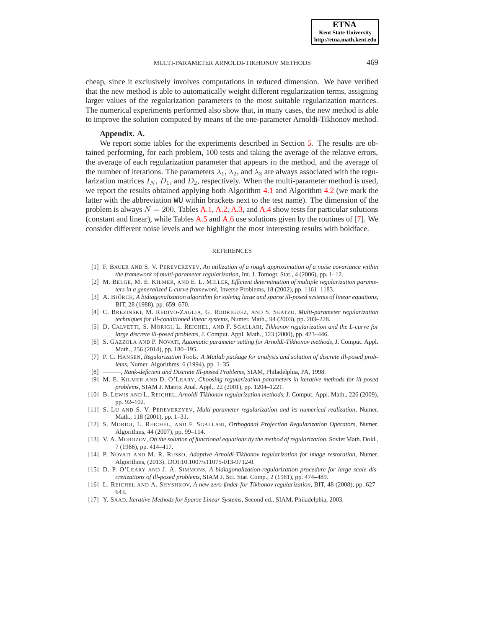cheap, since it exclusively involves computations in reduced dimension. We have verified that the new method is able to automatically weight different regularization terms, assigning larger values of the regularization parameters to the most suitable regularization matrices. The numerical experiments performed also show that, in many cases, the new method is able to improve the solution computed by means of the one-parameter Arnoldi-Tikhonov method.

#### **Appendix. A.**

<span id="page-17-10"></span>We report some tables for the experiments described in Section [5.](#page-9-0) The results are obtained performing, for each problem, 100 tests and taking the average of the relative errors, the average of each regularization parameter that appears in the method, and the average of the number of iterations. The parameters  $\lambda_1$ ,  $\lambda_2$ , and  $\lambda_3$  are always associated with the regularization matrices  $I_N$ ,  $D_1$ , and  $D_2$ , respectively. When the multi-parameter method is used, we report the results obtained applying both Algorithm [4.1](#page-7-1) and Algorithm [4.2](#page-8-0) (we mark the latter with the abbreviation WU within brackets next to the test name). The dimension of the problem is always  $N = 200$ . Tables [A.1,](#page-18-0) [A.2,](#page-19-0) [A.3,](#page-20-0) and [A.4](#page-21-0) show tests for particular solutions (constant and linear), while Tables [A.5](#page-22-0) and [A.6](#page-23-0) use solutions given by the routines of [\[7\]](#page-17-16). We consider different noise levels and we highlight the most interesting results with boldface.

#### **REFERENCES**

- <span id="page-17-4"></span>[1] F. BAUER AND S. V. PEREVERZYEV, *An utilization of a rough approximation of a noise covariance within the framework of multi-parameter regularization*, Int. J. Tomogr. Stat., 4 (2006), pp. 1–12.
- <span id="page-17-2"></span>[2] M. BELGE, M. E. KILMER, AND E. L. MILLER, *Efficient determination of multiple regularization parameters in a generalized L-curve framework*, Inverse Problems, 18 (2002), pp. 1161–1183.
- <span id="page-17-11"></span>[3] A. BJÖRCK, A bidiagonalization algorithm for solving large and sparse ill-posed systems of linear equations, BIT, 28 (1988), pp. 659–670.
- <span id="page-17-3"></span>[4] C. BREZINSKI, M. REDIVO-ZAGLIA, G. RODRIGUEZ, AND S. SEATZU, *Multi-parameter regularization techniques for ill-conditioned linear systems*, Numer. Math., 94 (2003), pp. 203–228.
- <span id="page-17-6"></span>[5] D. CALVETTI, S. MORIGI, L. REICHEL, AND F. SGALLARI, *Tikhonov regularization and the L-curve for large discrete ill-posed problems*, J. Comput. Appl. Math., 123 (2000), pp. 423–446.
- <span id="page-17-7"></span>[6] S. GAZZOLA AND P. NOVATI, *Automatic parameter setting for Arnoldi-Tikhonov methods*, J. Comput. Appl. Math., 256 (2014), pp. 180–195.
- <span id="page-17-16"></span>[7] P. C. HANSEN, *Regularization Tools: A Matlab package for analysis and solution of discrete ill-posed problems*, Numer. Algorithms, 6 (1994), pp. 1–35.
- <span id="page-17-12"></span><span id="page-17-1"></span>[8]  $\_\_\_\_\$ *Rank-deficient and Discrete Ill-posed Problems*, SIAM, Philadelphia, PA, 1998.
- [9] M. E. KILMER AND D. O'LEARY, *Choosing regularization parameters in iterative methods for ill-posed problems*, SIAM J. Matrix Anal. Appl., 22 (2001), pp. 1204–1221.
- <span id="page-17-8"></span>[10] B. LEWIS AND L. REICHEL, *Arnoldi-Tikhonov regularization methods*, J. Comput. Appl. Math., 226 (2009), pp. 92–102.
- <span id="page-17-0"></span>[11] S. LU AND S. V. PEREVERZYEV, *Multi-parameter regularization and its numerical realization*, Numer. Math., 118 (2001), pp. 1–31.
- <span id="page-17-17"></span>[12] S. MORIGI, L. REICHEL, AND F. SGALLARI, *Orthogonal Projection Regularization Operators*, Numer. Algorithms, 44 (2007), pp. 99–114.
- <span id="page-17-5"></span>[13] V. A. MOROZOV, *On the solution of functional equations by the method of regularization*, Soviet Math. Dokl., 7 (1966), pp. 414–417.
- <span id="page-17-15"></span>[14] P. NOVATI AND M. R. RUSSO, *Adaptive Arnoldi-Tikhonov regularization for image restoration*, Numer. Algorithms, (2013). DOI:10.1007/s11075-013-9712-0.
- <span id="page-17-13"></span>[15] D. P. O'LEARY AND J. A. SIMMONS, *A bidiagonalization-regularization procedure for large scale discretizations of ill-posed problems*, SIAM J. Sci. Stat. Comp., 2 (1981), pp. 474–489.
- <span id="page-17-9"></span>[16] L. REICHEL AND A. SHYSHKOV, *A new zero-finder for Tikhonov regularization*, BIT, 48 (2008), pp. 627– 643.
- <span id="page-17-14"></span>[17] Y. SAAD, *Iterative Methods for Sparse Linear Systems*, Second ed., SIAM, Philadelphia, 2003.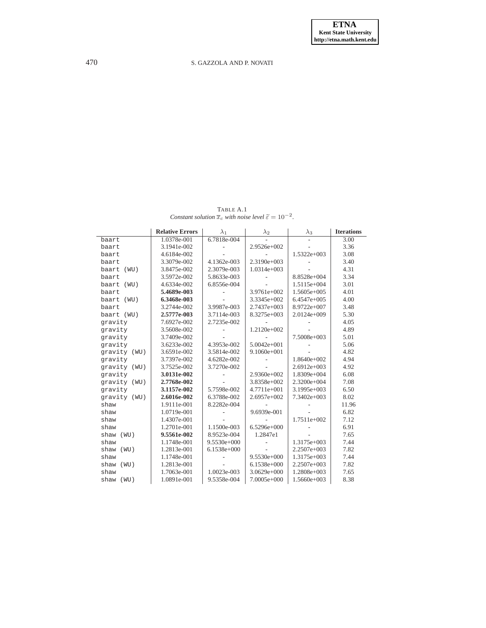$\frac{\text{TABLE A.1}}{\text{Constant solution } \bar{x}_c \text{ with noise level } \tilde{\epsilon}} = 10^{-2}.$ 

<span id="page-18-0"></span>

|               | <b>Relative Errors</b> | $\lambda_1$   | $\lambda_2$     | $\lambda_3$   | <b>Iterations</b> |
|---------------|------------------------|---------------|-----------------|---------------|-------------------|
| baart         | 1.0378e-001            | 6.7818e-004   |                 |               | 3.00              |
| baart         | 3.1941e-002            |               | 2.9526e+002     |               | 3.36              |
| baart         | 4.6184e-002            |               |                 | $1.5322e+003$ | 3.08              |
| baart         | 3.3079e-002            | 4.1362e-003   | $2.3190e+003$   |               | 3.40              |
| baart<br>(WU) | 3.8475e-002            | 2.3079e-003   | $1.0314e+003$   |               | 4.31              |
| baart         | 3.5972e-002            | 5.8633e-003   |                 | 8.8528e+004   | 3.34              |
| baart (WU)    | 4.6334e-002            | 6.8556e-004   |                 | 1.5115e+004   | 3.01              |
| baart         | 5.4689e-003            |               | 3.9761e+002     | 1.5605e+005   | 4.01              |
| baart (WU)    | 6.3468e-003            |               | 3.3345e+002     | 6.4547e+005   | 4.00              |
| baart         | 3.2744e-002            | 3.9987e-003   | 2.7437e+003     | 8.9722e+007   | 3.48              |
| baart (WU)    | 2.5777e-003            | 3.7114e-003   | 8.3275e+003     | 2.0124e+009   | 5.30              |
| gravity       | 7.6927e-002            | 2.7235e-002   |                 |               | 4.05              |
| gravity       | 3.5608e-002            |               | 1.2120e+002     |               | 4.89              |
| qravity       | 3.7409e-002            |               |                 | 7.5008e+003   | 5.01              |
| qravity       | 3.6233e-002            | 4.3953e-002   | $5.0042e+001$   |               | 5.06              |
| gravity (WU)  | 3.6591e-002            | 3.5814e-002   | 9.1060e+001     |               | 4.82              |
| qravity       | 3.7397e-002            | 4.6282e-002   |                 | 1.8640e+002   | 4.94              |
| gravity (WU)  | 3.7525e-002            | 3.7270e-002   |                 | $2.6912e+003$ | 4.92              |
| qravity       | 3.0131e-002            |               | 2.9360e+002     | 1.8309e+004   | 6.08              |
| gravity (WU)  | 2.7768e-002            |               | 3.8358e+002     | 2.3200e+004   | 7.08              |
| gravity       | 3.1157e-002            | 5.7598e-002   | $4.7711e+001$   | 3.1995e+003   | 6.50              |
| gravity (WU)  | 2.6016e-002            | 6.3788e-002   | 2.6957e+002     | 7.3402e+003   | 8.02              |
| shaw          | 1.9111e-001            | 8.2282e-004   |                 |               | 11.96             |
| shaw          | 1.0719e-001            |               | 9.6939e-001     |               | 6.82              |
| shaw          | 1.4307e-001            |               |                 | 1.7511e+002   | 7.12              |
| shaw          | 1.2701e-001            | 1.1500e-003   | $6.5296e+000$   |               | 6.91              |
| shaw<br>(WU)  | 9.5561e-002            | 8.9523e-004   | 1.2847e1        |               | 7.65              |
| shaw          | 1.1748e-001            | $9.5530e+000$ |                 | 1.3175e+003   | 7.44              |
| shaw<br>(WU)  | 1.2813e-001            | $6.1538e+000$ |                 | 2.2507e+003   | 7.82              |
| shaw          | 1.1748e-001            |               | 9.5530e+000     | 1.3175e+003   | 7.44              |
| shaw (WU)     | 1.2813e-001            |               | 6.1538e+000     | 2.2507e+003   | 7.82              |
| shaw          | 1.7063e-001            | 1.0023e-003   | $3.0629e + 000$ | 1.2808e+003   | 7.65              |
| shaw (WU)     | 1.0891e-001            | 9.5358e-004   | 7.0005e+000     | 1.5660e+003   | 8.38              |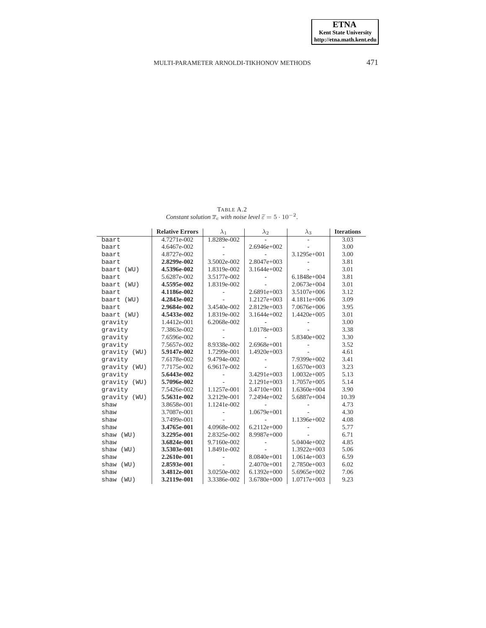$\text{TABLE A.2}$ <br>*Constant solution*  $\bar{x}_c$  *with noise level*  $\tilde{\epsilon} = 5 \cdot 10^{-2}$ *.* 

<span id="page-19-0"></span>

|               | <b>Relative Errors</b> | $\lambda_1$ | $\lambda_2$   | $\lambda_3$   | <b>Iterations</b> |
|---------------|------------------------|-------------|---------------|---------------|-------------------|
| baart         | 4.7271e-002            | 1.8289e-002 |               |               | $\overline{3.03}$ |
| baart         | 4.6467e-002            |             | 2.6946e+002   |               | 3.00              |
| baart         | 4.8727e-002            |             |               | 3.1295e+001   | 3.00              |
| baart         | 2.8299e-002            | 3.5002e-002 | $2.8047e+003$ |               | 3.81              |
| baart<br>(WU) | 4.5396e-002            | 1.8319e-002 | $3.1644e+002$ |               | 3.01              |
| baart         | 5.6287e-002            | 3.5177e-002 |               | 6.1848e+004   | 3.81              |
| baart (WU)    | 4.5595e-002            | 1.8319e-002 |               | $2.0673e+004$ | 3.01              |
| baart         | 4.1186e-002            |             | $2.6891e+003$ | 3.5107e+006   | 3.12              |
| baart (WU)    | 4.2843e-002            |             | $1.2127e+003$ | 4.1811e+006   | 3.09              |
| baart         | 2.9684e-002            | 3.4540e-002 | 2.8129e+003   | 7.0676e+006   | 3.95              |
| baart (WU)    | 4.5433e-002            | 1.8319e-002 | $3.1644e+002$ | 1.4420e+005   | 3.01              |
| gravity       | 1.4412e-001            | 6.2068e-002 |               |               | 3.00              |
| gravity       | 7.3863e-002            |             | 1.0178e+003   |               | 3.38              |
| qravity       | 7.6596e-002            |             |               | 5.8340e+002   | 3.30              |
| gravity       | 7.5657e-002            | 8.9338e-002 | 2.6968e+001   |               | 3.52              |
| gravity (WU)  | 5.9147e-002            | 1.7299e-001 | 1.4920e+003   |               | 4.61              |
| gravity       | 7.6178e-002            | 9.4794e-002 |               | 7.9399e+002   | 3.41              |
| gravity (WU)  | 7.7175e-002            | 6.9617e-002 |               | $1.6570e+003$ | 3.23              |
| gravity       | 5.6443e-002            |             | 3.4291e+003   | $1.0032e+005$ | 5.13              |
| gravity (WU)  | 5.7096e-002            |             | 2.1291e+003   | 1.7057e+005   | 5.14              |
| gravity       | 7.5426e-002            | 1.1257e-001 | 3.4710e+001   | 1.6360e+004   | 3.90              |
| gravity (WU)  | 5.5631e-002            | 3.2129e-001 | 7.2494e+002   | 5.6887e+004   | 10.39             |
| shaw          | 3.8658e-001            | 1.1241e-002 |               |               | 4.73              |
| shaw          | 3.7087e-001            |             | 1.0679e+001   |               | 4.30              |
| shaw          | 3.7499e-001            |             |               | 1.1396e+002   | 4.08              |
| shaw          | 3.4765e-001            | 4.0968e-002 | $6.2112e+000$ |               | 5.77              |
| shaw<br>(WU)  | 3.2295e-001            | 2.8325e-002 | 8.9987e+000   |               | 6.71              |
| shaw          | 3.6824e-001            | 9.7160e-002 |               | 5.0404e+002   | 4.85              |
| shaw<br>(WU)  | 3.5303e-001            | 1.8491e-002 |               | $1.3922e+003$ | 5.06              |
| shaw          | 2.2610e-001            |             | 8.0840e+001   | $1.0614e+003$ | 6.59              |
| shaw<br>(WU)  | 2.8593e-001            |             | $2.4070e+001$ | 2.7850e+003   | 6.02              |
| shaw          | 3.4812e-001            | 3.0250e-002 | $6.1392e+000$ | 5.6965e+002   | 7.06              |
| shaw (WU)     | 3.2119e-001            | 3.3386e-002 | 3.6780e+000   | 1.0717e+003   | 9.23              |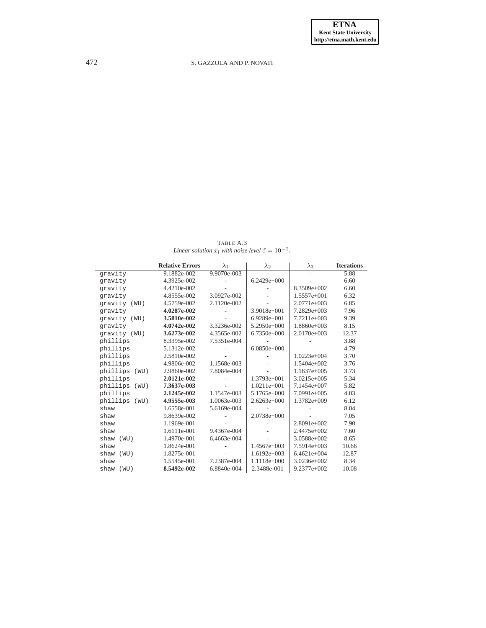TABLE A.3 *Linear solution*  $\overline{x}_l$  *with noise level*  $\widetilde{\varepsilon} = 10^{-2}$ *.* 

<span id="page-20-0"></span>

|                  | <b>Relative Errors</b> | $\lambda_1$ | $\lambda_2$   | $\lambda_3$   | <b>Iterations</b> |
|------------------|------------------------|-------------|---------------|---------------|-------------------|
| gravity          | 9.1882e-002            | 9.9070e-003 |               |               | 5.88              |
| gravity          | 4.3925e-002            |             | $6.2429e+000$ |               | 6.60              |
| gravity          | 4.4210e-002            |             |               | 8.3509e+002   | 6.60              |
| gravity          | 4.8555e-002            | 3.0927e-002 |               | 1.5557e+001   | 6.32              |
| qravity (WU)     | 4.5759e-002            | 2.1120e-002 |               | $2.0771e+003$ | 6.85              |
| gravity          | 4.0287e-002            |             | 3.9018e+001   | 7.2829e+003   | 7.96              |
| qravity (WU)     | 3.5810e-002            |             | $6.9289e+001$ | 7.7211e+003   | 9.39              |
| gravity          | 4.0742e-002            | 3.3236e-002 | $5.2950e+000$ | 1.8860e+003   | 8.15              |
| qravity (WU)     | 3.6273e-002            | 4.3565e-002 | $6.7350e+000$ | $2.0170e+003$ | 12.37             |
| phillips         | 8.3395e-002            | 7.5351e-004 |               |               | 3.88              |
| phillips         | 5.1312e-002            |             | $6.0850e+000$ |               | 4.79              |
| phillips         | 2.5810e-002            |             |               | $1.0223e+004$ | 3.70              |
| phillips         | 4.9806e-002            | 1.1568e-003 |               | 1.5404e+002   | 3.76              |
| phillips<br>(WU) | 2.9860e-002            | 7.8084e-004 |               | $1.1637e+005$ | 3.73              |
| phillips         | 2.0121e-002            |             | $1.3793e+001$ | 3.0215e+005   | 5.34              |
| phillips<br>(WU) | 7.3637e-003            |             | $1.0211e+001$ | 7.1454e+007   | 5.82              |
| phillips         | 2.1245e-002            | 1.1547e-003 | 5.1765e+000   | $7.0991e+005$ | 4.03              |
| phillips (WU)    | 4.9555e-003            | 1.0063e-003 | $2.6263e+000$ | 1.3782e+009   | 6.12              |
| shaw             | 1.6558e-001            | 5.6169e-004 |               |               | 8.04              |
| shaw             | 9.8639e-002            |             | $2.0738e+000$ |               | 7.05              |
| shaw             | 1.1969e-001            |             |               | $2.8091e+002$ | 7.90              |
| shaw             | 1.6111e-001            | 9.4367e-004 |               | $2.4475e+002$ | 7.60              |
| shaw (WU)        | 1.4970e-001            | 6.4663e-004 |               | 3.0588e+002   | 8.65              |
| shaw             | 1.8624e-001            |             | $1.4567e+003$ | 7.5914e+003   | 10.66             |
| shaw<br>(WU)     | 1.8275e-001            |             | $1.6192e+003$ | $6.4621e+004$ | 12.87             |
| shaw             | 1.5545e-001            | 7.2387e-004 | $1.1118e+000$ | 3.0236e+002   | 8.34              |
| shaw (WU)        | 8.5492e-002            | 6.8840e-004 | 2.3488e-001   | 9.2377e+002   | 10.08             |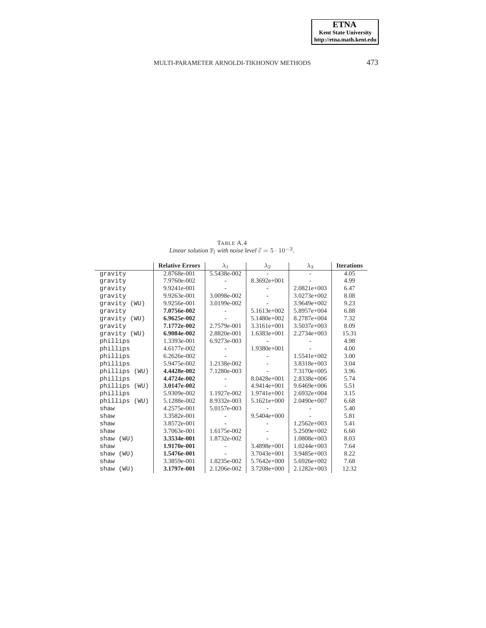TABLE A.4 *Linear solution*  $\overline{x}_l$  *with noise level*  $\widetilde{\varepsilon} = 5 \cdot 10^{-2}$ *.* 

<span id="page-21-0"></span>

|                  | <b>Relative Errors</b> | $\lambda_1$ | $\lambda_2$   | $\lambda_3$   | <b>Iterations</b> |
|------------------|------------------------|-------------|---------------|---------------|-------------------|
| gravity          | 2.8768e-001            | 5.5438e-002 |               |               | 4.05              |
| gravity          | 7.9760e-002            |             | 8.3692e+001   |               | 4.99              |
| qravity          | 9.9241e-001            |             |               | $2.0821e+003$ | 6.47              |
| qravity          | 9.9263e-001            | 3.0098e-002 |               | 3.0273e+002   | 8.08              |
| qravity (WU)     | 9.9256e-001            | 3.0199e-002 |               | $3.9649e+002$ | 9.23              |
| qravity          | 7.0756e-002            |             | 5.1613e+002   | 5.8957e+004   | 6.88              |
| qravity (WU)     | 6.9625e-002            |             | 5.1480e+002   | 8.2787e+004   | 7.32              |
| qravity          | 7.1772e-002            | 2.7579e-001 | 3.3161e+001   | $3.5037e+003$ | 8.09              |
| qravity (WU)     | 6.9084e-002            | 2.8820e-001 | 1.6383e+001   | $2.2734e+003$ | 15.31             |
| phillips         | 1.3393e-001            | 6.9273e-003 |               |               | 4.98              |
| phillips         | 4.6177e-002            |             | 1.9380e+001   |               | 4.00              |
| phillips         | 6.2626e-002            |             |               | 1.5541e+002   | 3.00              |
| phillips         | 5.9475e-002            | 1.2138e-002 |               | 3.8318e+003   | 3.04              |
| phillips<br>(WU) | 4.4428e-002            | 7.1280e-003 |               | 7.3170e+005   | 3.96              |
| phillips         | 4.4724e-002            |             | $8.0428e+001$ | 2.8338e+006   | 5.74              |
| phillips<br>(WU) | 3.0147e-002            |             | $4.9414e+001$ | $9.6469e+006$ | 5.51              |
| phillips         | 5.9309e-002            | 1.1927e-002 | 1.9741e+001   | $2.6932e+004$ | 3.15              |
| phillips<br>(WU) | 5.1288e-002            | 8.9332e-003 | $5.1621e+000$ | $2.0490e+007$ | 6.68              |
| shaw             | 4.2575e-001            | 5.0157e-003 |               |               | 5.40              |
| shaw             | 3.3582e-001            |             | $9.5404e+000$ |               | 5.81              |
| shaw             | 3.8572e-001            |             |               | $1.2562e+003$ | 5.41              |
| shaw             | 3.7063e-001            | 1.6175e-002 |               | 5.2509e+002   | 6.60              |
| shaw<br>(WU)     | 3.3534e-001            | 1.8732e-002 |               | 1.0808e+003   | 8.03              |
| shaw             | 1.9170e-001            |             | 3.4898e+001   | $1.0244e+003$ | 7.64              |
| shaw<br>(WU)     | 1.5476e-001            |             | 3.7043e+001   | 3.9485e+003   | 8.22              |
| shaw             | 3.3859e-001            | 1.8235e-002 | $5.7642e+000$ | 5.6926e+002   | 7.68              |
| shaw (WU)        | 3.1797e-001            | 2.1206e-002 | 3.7208e+000   | $2.1282e+003$ | 12.32             |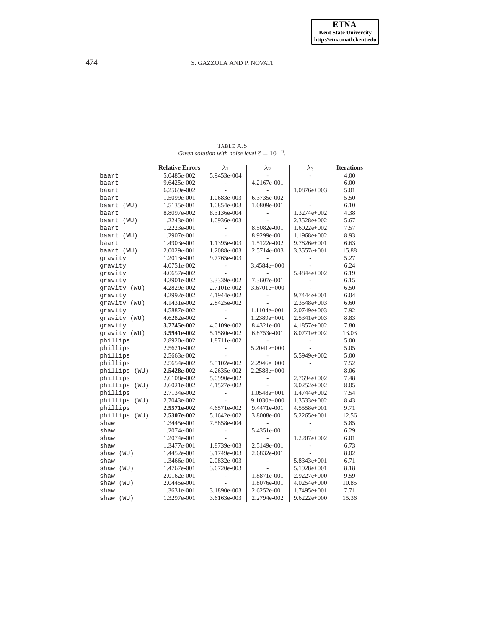<span id="page-22-0"></span>

| 5.9453e-004<br>5.0485e-002<br>baart<br>4.2167e-001<br>9.6425e-002<br>baart<br>6.2569e-002<br>1.0876e+003<br>baart<br>1.0683e-003<br>6.3735e-002<br>1.5099e-001<br>baart<br>1.0809e-001<br>1.5135e-001<br>1.0854e-003<br>baart (WU)<br>8.3136e-004<br>1.3274e+002<br>8.8097e-002<br>baart<br>1.2243e-001<br>1.0936e-003<br>2.3528e+002<br>baart (WU)<br>1.2223e-001<br>8.5082e-001<br>$1.6022e+002$<br>baart<br>$\frac{1}{2}$<br>1.2907e-001<br>8.9299e-001<br>1.1968e+002<br>baart (WU)<br>1.4903e-001<br>1.1395e-003<br>1.5122e-002<br>9.7826e+001<br>baart<br>1.2088e-003<br>2.5714e-003<br>3.3557e+001<br>baart (WU)<br>2.0029e-001<br>1.2013e-001<br>9.7765e-003<br>qravity<br>4.0751e-002<br>3.4584e+000<br>qravity<br>4.0657e-002<br>5.4844e+002<br>gravity<br>3.3339e-002<br>7.3607e-001<br>4.3901e-002<br>gravity<br>2.7101e-002<br>3.6701e+000<br>gravity (WU)<br>4.2829e-002<br>4.1944e-002<br>9.7444e+001<br>qravity<br>4.2992e-002<br>2.8425e-002<br>2.3548e+003<br>gravity (WU)<br>4.1431e-002<br>4.5887e-002<br>1.1104e+001<br>2.0749e+003<br>qravity<br>1.2389e+001<br>gravity (WU)<br>4.6282e-002<br>2.5341e+003<br>÷<br>gravity<br>3.7745e-002<br>4.0109e-002<br>8.4321e-001<br>4.1857e+002<br>5.1580e-002<br>gravity (WU)<br>3.5941e-002<br>6.8753e-001<br>8.0771e+002<br>1.8711e-002<br>phillips<br>2.8920e-002<br>phillips<br>2.5621e-002<br>5.2041e+000<br>L.<br>phillips<br>2.5663e-002<br>5.5949e+002<br>2.2946e+000<br>phillips<br>2.5654e-002<br>5.5102e-002<br>2.2588e+000<br>phillips<br>2.5428e-002<br>4.2635e-002<br>(WU)<br>5.0990e-002<br>2.7694e+002<br>phillips<br>2.6108e-002<br>L,<br>2.6021e-002<br>4.1527e-002<br>3.0252e+002<br>phillips (WU)<br>phillips<br>2.7134e-002<br>1.0548e+001<br>1.4744e+002<br>phillips<br>2.7043e-002<br>$9.1030e + 000$<br>1.3533e+002<br>(WU)<br>4.6571e-002<br>9.71<br>phillips<br>2.5571e-002<br>9.4471e-001<br>4.5558e+001<br>5.1642e-002<br>phillips (WU)<br>2.5307e-002<br>3.8008e-001<br>5.2265e+001<br>7.5858e-004<br>shaw<br>1.3445e-001<br>1.2074e-001<br>5.4351e-001<br>shaw<br>$\overline{\phantom{a}}$<br>1.2074e-001<br>1.2207e+002<br>shaw<br>2.5149e-001<br>6.73<br>1.3477e-001<br>1.8739e-003<br>shaw<br>2.6832e-001<br>1.4452e-001<br>3.1749e-003<br>8.02<br>shaw<br>(WU)<br>1.3466e-001<br>2.0832e-003<br>5.8343e+001<br>shaw<br>$\frac{1}{2}$<br>3.6720e-003<br>5.1928e+001<br>1.4767e-001<br>shaw (WU)<br>2.0162e-001<br>1.8871e-001<br>2.9227e+000<br>shaw<br>2.0445e-001<br>1.8076e-001<br>$4.0254e+000$<br>shaw (WU) |      | <b>Relative Errors</b> | $\lambda_1$ | $\lambda_2$ | $\lambda_3$ | <b>Iterations</b> |
|-----------------------------------------------------------------------------------------------------------------------------------------------------------------------------------------------------------------------------------------------------------------------------------------------------------------------------------------------------------------------------------------------------------------------------------------------------------------------------------------------------------------------------------------------------------------------------------------------------------------------------------------------------------------------------------------------------------------------------------------------------------------------------------------------------------------------------------------------------------------------------------------------------------------------------------------------------------------------------------------------------------------------------------------------------------------------------------------------------------------------------------------------------------------------------------------------------------------------------------------------------------------------------------------------------------------------------------------------------------------------------------------------------------------------------------------------------------------------------------------------------------------------------------------------------------------------------------------------------------------------------------------------------------------------------------------------------------------------------------------------------------------------------------------------------------------------------------------------------------------------------------------------------------------------------------------------------------------------------------------------------------------------------------------------------------------------------------------------------------------------------------------------------------------------------------------------------------------------------------------------------------------------------------------------------------------------------------------------------------------------------------------------------------------------------------------------------------------------------------------------------------------|------|------------------------|-------------|-------------|-------------|-------------------|
|                                                                                                                                                                                                                                                                                                                                                                                                                                                                                                                                                                                                                                                                                                                                                                                                                                                                                                                                                                                                                                                                                                                                                                                                                                                                                                                                                                                                                                                                                                                                                                                                                                                                                                                                                                                                                                                                                                                                                                                                                                                                                                                                                                                                                                                                                                                                                                                                                                                                                                                 |      |                        |             |             |             | 4.00              |
|                                                                                                                                                                                                                                                                                                                                                                                                                                                                                                                                                                                                                                                                                                                                                                                                                                                                                                                                                                                                                                                                                                                                                                                                                                                                                                                                                                                                                                                                                                                                                                                                                                                                                                                                                                                                                                                                                                                                                                                                                                                                                                                                                                                                                                                                                                                                                                                                                                                                                                                 |      |                        |             |             |             | 6.00              |
|                                                                                                                                                                                                                                                                                                                                                                                                                                                                                                                                                                                                                                                                                                                                                                                                                                                                                                                                                                                                                                                                                                                                                                                                                                                                                                                                                                                                                                                                                                                                                                                                                                                                                                                                                                                                                                                                                                                                                                                                                                                                                                                                                                                                                                                                                                                                                                                                                                                                                                                 |      |                        |             |             |             | 5.01              |
|                                                                                                                                                                                                                                                                                                                                                                                                                                                                                                                                                                                                                                                                                                                                                                                                                                                                                                                                                                                                                                                                                                                                                                                                                                                                                                                                                                                                                                                                                                                                                                                                                                                                                                                                                                                                                                                                                                                                                                                                                                                                                                                                                                                                                                                                                                                                                                                                                                                                                                                 |      |                        |             |             |             | 5.50              |
|                                                                                                                                                                                                                                                                                                                                                                                                                                                                                                                                                                                                                                                                                                                                                                                                                                                                                                                                                                                                                                                                                                                                                                                                                                                                                                                                                                                                                                                                                                                                                                                                                                                                                                                                                                                                                                                                                                                                                                                                                                                                                                                                                                                                                                                                                                                                                                                                                                                                                                                 |      |                        |             |             |             | 6.10              |
|                                                                                                                                                                                                                                                                                                                                                                                                                                                                                                                                                                                                                                                                                                                                                                                                                                                                                                                                                                                                                                                                                                                                                                                                                                                                                                                                                                                                                                                                                                                                                                                                                                                                                                                                                                                                                                                                                                                                                                                                                                                                                                                                                                                                                                                                                                                                                                                                                                                                                                                 |      |                        |             |             |             | 4.38              |
|                                                                                                                                                                                                                                                                                                                                                                                                                                                                                                                                                                                                                                                                                                                                                                                                                                                                                                                                                                                                                                                                                                                                                                                                                                                                                                                                                                                                                                                                                                                                                                                                                                                                                                                                                                                                                                                                                                                                                                                                                                                                                                                                                                                                                                                                                                                                                                                                                                                                                                                 |      |                        |             |             |             | 5.67              |
|                                                                                                                                                                                                                                                                                                                                                                                                                                                                                                                                                                                                                                                                                                                                                                                                                                                                                                                                                                                                                                                                                                                                                                                                                                                                                                                                                                                                                                                                                                                                                                                                                                                                                                                                                                                                                                                                                                                                                                                                                                                                                                                                                                                                                                                                                                                                                                                                                                                                                                                 |      |                        |             |             |             | 7.57              |
|                                                                                                                                                                                                                                                                                                                                                                                                                                                                                                                                                                                                                                                                                                                                                                                                                                                                                                                                                                                                                                                                                                                                                                                                                                                                                                                                                                                                                                                                                                                                                                                                                                                                                                                                                                                                                                                                                                                                                                                                                                                                                                                                                                                                                                                                                                                                                                                                                                                                                                                 |      |                        |             |             |             | 8.93              |
|                                                                                                                                                                                                                                                                                                                                                                                                                                                                                                                                                                                                                                                                                                                                                                                                                                                                                                                                                                                                                                                                                                                                                                                                                                                                                                                                                                                                                                                                                                                                                                                                                                                                                                                                                                                                                                                                                                                                                                                                                                                                                                                                                                                                                                                                                                                                                                                                                                                                                                                 |      |                        |             |             |             | 6.63              |
|                                                                                                                                                                                                                                                                                                                                                                                                                                                                                                                                                                                                                                                                                                                                                                                                                                                                                                                                                                                                                                                                                                                                                                                                                                                                                                                                                                                                                                                                                                                                                                                                                                                                                                                                                                                                                                                                                                                                                                                                                                                                                                                                                                                                                                                                                                                                                                                                                                                                                                                 |      |                        |             |             |             | 15.88             |
|                                                                                                                                                                                                                                                                                                                                                                                                                                                                                                                                                                                                                                                                                                                                                                                                                                                                                                                                                                                                                                                                                                                                                                                                                                                                                                                                                                                                                                                                                                                                                                                                                                                                                                                                                                                                                                                                                                                                                                                                                                                                                                                                                                                                                                                                                                                                                                                                                                                                                                                 |      |                        |             |             |             | 5.27              |
|                                                                                                                                                                                                                                                                                                                                                                                                                                                                                                                                                                                                                                                                                                                                                                                                                                                                                                                                                                                                                                                                                                                                                                                                                                                                                                                                                                                                                                                                                                                                                                                                                                                                                                                                                                                                                                                                                                                                                                                                                                                                                                                                                                                                                                                                                                                                                                                                                                                                                                                 |      |                        |             |             |             | 6.24              |
|                                                                                                                                                                                                                                                                                                                                                                                                                                                                                                                                                                                                                                                                                                                                                                                                                                                                                                                                                                                                                                                                                                                                                                                                                                                                                                                                                                                                                                                                                                                                                                                                                                                                                                                                                                                                                                                                                                                                                                                                                                                                                                                                                                                                                                                                                                                                                                                                                                                                                                                 |      |                        |             |             |             | 6.19              |
|                                                                                                                                                                                                                                                                                                                                                                                                                                                                                                                                                                                                                                                                                                                                                                                                                                                                                                                                                                                                                                                                                                                                                                                                                                                                                                                                                                                                                                                                                                                                                                                                                                                                                                                                                                                                                                                                                                                                                                                                                                                                                                                                                                                                                                                                                                                                                                                                                                                                                                                 |      |                        |             |             |             | 6.15              |
|                                                                                                                                                                                                                                                                                                                                                                                                                                                                                                                                                                                                                                                                                                                                                                                                                                                                                                                                                                                                                                                                                                                                                                                                                                                                                                                                                                                                                                                                                                                                                                                                                                                                                                                                                                                                                                                                                                                                                                                                                                                                                                                                                                                                                                                                                                                                                                                                                                                                                                                 |      |                        |             |             |             | 6.50              |
|                                                                                                                                                                                                                                                                                                                                                                                                                                                                                                                                                                                                                                                                                                                                                                                                                                                                                                                                                                                                                                                                                                                                                                                                                                                                                                                                                                                                                                                                                                                                                                                                                                                                                                                                                                                                                                                                                                                                                                                                                                                                                                                                                                                                                                                                                                                                                                                                                                                                                                                 |      |                        |             |             |             | 6.04              |
|                                                                                                                                                                                                                                                                                                                                                                                                                                                                                                                                                                                                                                                                                                                                                                                                                                                                                                                                                                                                                                                                                                                                                                                                                                                                                                                                                                                                                                                                                                                                                                                                                                                                                                                                                                                                                                                                                                                                                                                                                                                                                                                                                                                                                                                                                                                                                                                                                                                                                                                 |      |                        |             |             |             | 6.60              |
|                                                                                                                                                                                                                                                                                                                                                                                                                                                                                                                                                                                                                                                                                                                                                                                                                                                                                                                                                                                                                                                                                                                                                                                                                                                                                                                                                                                                                                                                                                                                                                                                                                                                                                                                                                                                                                                                                                                                                                                                                                                                                                                                                                                                                                                                                                                                                                                                                                                                                                                 |      |                        |             |             |             | 7.92              |
|                                                                                                                                                                                                                                                                                                                                                                                                                                                                                                                                                                                                                                                                                                                                                                                                                                                                                                                                                                                                                                                                                                                                                                                                                                                                                                                                                                                                                                                                                                                                                                                                                                                                                                                                                                                                                                                                                                                                                                                                                                                                                                                                                                                                                                                                                                                                                                                                                                                                                                                 |      |                        |             |             |             | 8.83              |
|                                                                                                                                                                                                                                                                                                                                                                                                                                                                                                                                                                                                                                                                                                                                                                                                                                                                                                                                                                                                                                                                                                                                                                                                                                                                                                                                                                                                                                                                                                                                                                                                                                                                                                                                                                                                                                                                                                                                                                                                                                                                                                                                                                                                                                                                                                                                                                                                                                                                                                                 |      |                        |             |             |             | 7.80              |
|                                                                                                                                                                                                                                                                                                                                                                                                                                                                                                                                                                                                                                                                                                                                                                                                                                                                                                                                                                                                                                                                                                                                                                                                                                                                                                                                                                                                                                                                                                                                                                                                                                                                                                                                                                                                                                                                                                                                                                                                                                                                                                                                                                                                                                                                                                                                                                                                                                                                                                                 |      |                        |             |             |             | 13.03             |
|                                                                                                                                                                                                                                                                                                                                                                                                                                                                                                                                                                                                                                                                                                                                                                                                                                                                                                                                                                                                                                                                                                                                                                                                                                                                                                                                                                                                                                                                                                                                                                                                                                                                                                                                                                                                                                                                                                                                                                                                                                                                                                                                                                                                                                                                                                                                                                                                                                                                                                                 |      |                        |             |             |             | 5.00              |
|                                                                                                                                                                                                                                                                                                                                                                                                                                                                                                                                                                                                                                                                                                                                                                                                                                                                                                                                                                                                                                                                                                                                                                                                                                                                                                                                                                                                                                                                                                                                                                                                                                                                                                                                                                                                                                                                                                                                                                                                                                                                                                                                                                                                                                                                                                                                                                                                                                                                                                                 |      |                        |             |             |             | 5.05              |
|                                                                                                                                                                                                                                                                                                                                                                                                                                                                                                                                                                                                                                                                                                                                                                                                                                                                                                                                                                                                                                                                                                                                                                                                                                                                                                                                                                                                                                                                                                                                                                                                                                                                                                                                                                                                                                                                                                                                                                                                                                                                                                                                                                                                                                                                                                                                                                                                                                                                                                                 |      |                        |             |             |             | 5.00              |
|                                                                                                                                                                                                                                                                                                                                                                                                                                                                                                                                                                                                                                                                                                                                                                                                                                                                                                                                                                                                                                                                                                                                                                                                                                                                                                                                                                                                                                                                                                                                                                                                                                                                                                                                                                                                                                                                                                                                                                                                                                                                                                                                                                                                                                                                                                                                                                                                                                                                                                                 |      |                        |             |             |             | 7.52              |
|                                                                                                                                                                                                                                                                                                                                                                                                                                                                                                                                                                                                                                                                                                                                                                                                                                                                                                                                                                                                                                                                                                                                                                                                                                                                                                                                                                                                                                                                                                                                                                                                                                                                                                                                                                                                                                                                                                                                                                                                                                                                                                                                                                                                                                                                                                                                                                                                                                                                                                                 |      |                        |             |             |             | 8.06              |
|                                                                                                                                                                                                                                                                                                                                                                                                                                                                                                                                                                                                                                                                                                                                                                                                                                                                                                                                                                                                                                                                                                                                                                                                                                                                                                                                                                                                                                                                                                                                                                                                                                                                                                                                                                                                                                                                                                                                                                                                                                                                                                                                                                                                                                                                                                                                                                                                                                                                                                                 |      |                        |             |             |             | 7.48              |
|                                                                                                                                                                                                                                                                                                                                                                                                                                                                                                                                                                                                                                                                                                                                                                                                                                                                                                                                                                                                                                                                                                                                                                                                                                                                                                                                                                                                                                                                                                                                                                                                                                                                                                                                                                                                                                                                                                                                                                                                                                                                                                                                                                                                                                                                                                                                                                                                                                                                                                                 |      |                        |             |             |             | 8.05              |
|                                                                                                                                                                                                                                                                                                                                                                                                                                                                                                                                                                                                                                                                                                                                                                                                                                                                                                                                                                                                                                                                                                                                                                                                                                                                                                                                                                                                                                                                                                                                                                                                                                                                                                                                                                                                                                                                                                                                                                                                                                                                                                                                                                                                                                                                                                                                                                                                                                                                                                                 |      |                        |             |             |             | 7.54              |
|                                                                                                                                                                                                                                                                                                                                                                                                                                                                                                                                                                                                                                                                                                                                                                                                                                                                                                                                                                                                                                                                                                                                                                                                                                                                                                                                                                                                                                                                                                                                                                                                                                                                                                                                                                                                                                                                                                                                                                                                                                                                                                                                                                                                                                                                                                                                                                                                                                                                                                                 |      |                        |             |             |             | 8.43              |
|                                                                                                                                                                                                                                                                                                                                                                                                                                                                                                                                                                                                                                                                                                                                                                                                                                                                                                                                                                                                                                                                                                                                                                                                                                                                                                                                                                                                                                                                                                                                                                                                                                                                                                                                                                                                                                                                                                                                                                                                                                                                                                                                                                                                                                                                                                                                                                                                                                                                                                                 |      |                        |             |             |             |                   |
|                                                                                                                                                                                                                                                                                                                                                                                                                                                                                                                                                                                                                                                                                                                                                                                                                                                                                                                                                                                                                                                                                                                                                                                                                                                                                                                                                                                                                                                                                                                                                                                                                                                                                                                                                                                                                                                                                                                                                                                                                                                                                                                                                                                                                                                                                                                                                                                                                                                                                                                 |      |                        |             |             |             | 12.56             |
|                                                                                                                                                                                                                                                                                                                                                                                                                                                                                                                                                                                                                                                                                                                                                                                                                                                                                                                                                                                                                                                                                                                                                                                                                                                                                                                                                                                                                                                                                                                                                                                                                                                                                                                                                                                                                                                                                                                                                                                                                                                                                                                                                                                                                                                                                                                                                                                                                                                                                                                 |      |                        |             |             |             | 5.85              |
|                                                                                                                                                                                                                                                                                                                                                                                                                                                                                                                                                                                                                                                                                                                                                                                                                                                                                                                                                                                                                                                                                                                                                                                                                                                                                                                                                                                                                                                                                                                                                                                                                                                                                                                                                                                                                                                                                                                                                                                                                                                                                                                                                                                                                                                                                                                                                                                                                                                                                                                 |      |                        |             |             |             | 6.29              |
|                                                                                                                                                                                                                                                                                                                                                                                                                                                                                                                                                                                                                                                                                                                                                                                                                                                                                                                                                                                                                                                                                                                                                                                                                                                                                                                                                                                                                                                                                                                                                                                                                                                                                                                                                                                                                                                                                                                                                                                                                                                                                                                                                                                                                                                                                                                                                                                                                                                                                                                 |      |                        |             |             |             | 6.01              |
|                                                                                                                                                                                                                                                                                                                                                                                                                                                                                                                                                                                                                                                                                                                                                                                                                                                                                                                                                                                                                                                                                                                                                                                                                                                                                                                                                                                                                                                                                                                                                                                                                                                                                                                                                                                                                                                                                                                                                                                                                                                                                                                                                                                                                                                                                                                                                                                                                                                                                                                 |      |                        |             |             |             |                   |
|                                                                                                                                                                                                                                                                                                                                                                                                                                                                                                                                                                                                                                                                                                                                                                                                                                                                                                                                                                                                                                                                                                                                                                                                                                                                                                                                                                                                                                                                                                                                                                                                                                                                                                                                                                                                                                                                                                                                                                                                                                                                                                                                                                                                                                                                                                                                                                                                                                                                                                                 |      |                        |             |             |             |                   |
|                                                                                                                                                                                                                                                                                                                                                                                                                                                                                                                                                                                                                                                                                                                                                                                                                                                                                                                                                                                                                                                                                                                                                                                                                                                                                                                                                                                                                                                                                                                                                                                                                                                                                                                                                                                                                                                                                                                                                                                                                                                                                                                                                                                                                                                                                                                                                                                                                                                                                                                 |      |                        |             |             |             | 6.71              |
|                                                                                                                                                                                                                                                                                                                                                                                                                                                                                                                                                                                                                                                                                                                                                                                                                                                                                                                                                                                                                                                                                                                                                                                                                                                                                                                                                                                                                                                                                                                                                                                                                                                                                                                                                                                                                                                                                                                                                                                                                                                                                                                                                                                                                                                                                                                                                                                                                                                                                                                 |      |                        |             |             |             | 8.18              |
|                                                                                                                                                                                                                                                                                                                                                                                                                                                                                                                                                                                                                                                                                                                                                                                                                                                                                                                                                                                                                                                                                                                                                                                                                                                                                                                                                                                                                                                                                                                                                                                                                                                                                                                                                                                                                                                                                                                                                                                                                                                                                                                                                                                                                                                                                                                                                                                                                                                                                                                 |      |                        |             |             |             | 9.59              |
|                                                                                                                                                                                                                                                                                                                                                                                                                                                                                                                                                                                                                                                                                                                                                                                                                                                                                                                                                                                                                                                                                                                                                                                                                                                                                                                                                                                                                                                                                                                                                                                                                                                                                                                                                                                                                                                                                                                                                                                                                                                                                                                                                                                                                                                                                                                                                                                                                                                                                                                 |      |                        |             |             |             | 10.85             |
|                                                                                                                                                                                                                                                                                                                                                                                                                                                                                                                                                                                                                                                                                                                                                                                                                                                                                                                                                                                                                                                                                                                                                                                                                                                                                                                                                                                                                                                                                                                                                                                                                                                                                                                                                                                                                                                                                                                                                                                                                                                                                                                                                                                                                                                                                                                                                                                                                                                                                                                 | shaw | 1.3631e-001            | 3.1890e-003 | 2.6252e-001 | 1.7495e+001 | 7.71              |
| 1.3297e-001<br>3.6163e-003<br>2.2794e-002<br>$9.6222e+000$<br>shaw (WU)                                                                                                                                                                                                                                                                                                                                                                                                                                                                                                                                                                                                                                                                                                                                                                                                                                                                                                                                                                                                                                                                                                                                                                                                                                                                                                                                                                                                                                                                                                                                                                                                                                                                                                                                                                                                                                                                                                                                                                                                                                                                                                                                                                                                                                                                                                                                                                                                                                         |      |                        |             |             |             | 15.36             |

TABLE A.5 *Given solution with noise level*  $\widetilde{\epsilon} = 10^{-2}$ *.*